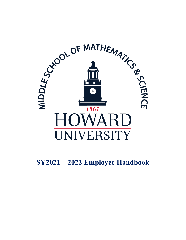

# **SY2021 – 2022 Employee Handbook**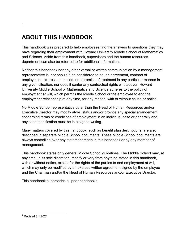# **ABOUT THIS HANDBOOK**

This handbook was prepared to help employees find the answers to questions they may have regarding their employment with Howard University Middle School of Mathematics and Science. Aside from this handbook, supervisors and the human resources department can also be referred to for additional information.

Neither this handbook nor any other verbal or written communication by a management representative is, nor should it be considered to be, an agreement, contract of employment, express or implied, or a promise of treatment in any particular manner in any given situation, nor does it confer any contractual rights whatsoever. Howard University Middle School of Mathematics and Science adheres to the policy of employment at will, which permits the Middle School or the employee to end the employment relationship at any time, for any reason, with or without cause or notice.

No Middle School representative other than the Head of Human Resources and/or Executive Director may modify at-will status and/or provide any special arrangement concerning terms or conditions of employment in an individual case or generally and any such modification must be in a signed writing.

Many matters covered by this handbook, such as benefit plan descriptions, are also described in separate Middle School documents. These Middle School documents are always controlling over any statement made in this handbook or by any member of management.

This handbook states only general Middle School guidelines. The Middle School may, at any time, in its sole discretion, modify or vary from anything stated in this handbook, with or without notice, except for the rights of the parties to end employment at will, which may only be modified by an express written agreement signed by the employee and the Chairman and/or the Head of Human Resources and/or Executive Director.

This handbook supersedes all prior handbooks.

 $<sup>1</sup>$  Revised 8.1.2021</sup>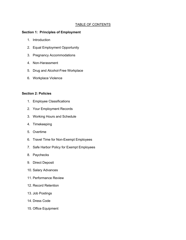#### TABLE OF CONTENTS

#### **Section 1: Principles of Employment**

- 1. Introduction
- 2. Equal Employment Opportunity
- 3. Pregnancy Accommodations
- 4. Non-Harassment
- 5. Drug and Alcohol-Free Workplace
- 6. Workplace Violence

#### **Section 2: Policies**

- 1. Employee Classifications
- 2. Your Employment Records
- 3. Working Hours and Schedule
- 4. Timekeeping
- 5. Overtime
- 6. Travel Time for Non-Exempt Employees
- 7. Safe Harbor Policy for Exempt Employees
- 8. Paychecks
- 9. Direct Deposit
- 10. Salary Advances
- 11. Performance Review
- 12. Record Retention
- 13. Job Postings
- 14. Dress Code
- 15. Office Equipment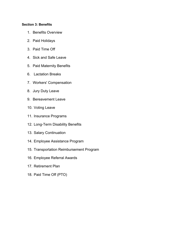#### **Section 3: Benefits**

- 1. Benefits Overview
- 2. Paid Holidays
- 3. Paid Time Off
- 4. Sick and Safe Leave
- 5. Paid Maternity Benefits
- 6. Lactation Breaks
- 7. Workers' Compensation
- 8. Jury Duty Leave
- 9. Bereavement Leave
- 10. Voting Leave
- 11. Insurance Programs
- 12. Long-Term Disability Benefits
- 13. Salary Continuation
- 14. Employee Assistance Program
- 15. Transportation Reimbursement Program
- 16. Employee Referral Awards
- 17. Retirement Plan
- 18. Paid Time Off (PTO)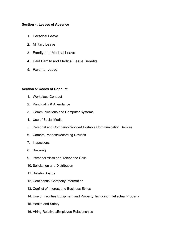#### **Section 4: Leaves of Absence**

- 1. Personal Leave
- 2. Military Leave
- 3. Family and Medical Leave
- 4. Paid Family and Medical Leave Benefits
- 5. Parental Leave

#### **Section 5: Codes of Conduct**

- 1. Workplace Conduct
- 2. Punctuality & Attendance
- 3. Communications and Computer Systems
- 4. Use of Social Media
- 5. Personal and Company-Provided Portable Communication Devices
- 6. Camera Phones/Recording Devices
- 7. Inspections
- 8. Smoking
- 9. Personal Visits and Telephone Calls
- 10. Solicitation and Distribution
- 11. Bulletin Boards
- 12. Confidential Company Information
- 13. Conflict of Interest and Business Ethics
- 14. Use of Facilities Equipment and Property, Including Intellectual Property
- 15. Health and Safety
- 16. Hiring Relatives/Employee Relationships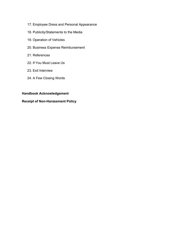- 17. Employee Dress and Personal Appearance
- 18. Publicity/Statements to the Media
- 19. Operation of Vehicles
- 20. Business Expense Reimbursement
- 21. References
- 22. If You Must Leave Us
- 23. Exit Interview
- 24. A Few Closing Words

#### **Handbook Acknowledgement**

#### **Receipt of Non-Harassment Policy**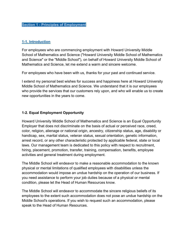## **1-1. Introduction**

For employees who are commencing employment with Howard University Middle School of Mathematics and Science ("Howard University Middle School of Mathematics and Science" or the "Middle School"), on behalf of Howard University Middle School of Mathematics and Science, let me extend a warm and sincere welcome.

For employees who have been with us, thanks for your past and continued service.

I extend my personal best wishes for success and happiness here at Howard University Middle School of Mathematics and Science. We understand that it is our employees who provide the services that our customers rely upon, and who will enable us to create new opportunities in the years to come.

#### **1-2. Equal Employment Opportunity**

Howard University Middle School of Mathematics and Science is an Equal Opportunity Employer that does not discriminate on the basis of actual or perceived race, creed, color, religion, alienage or national origin, ancestry, citizenship status, age, disability or handicap, sex, marital status, veteran status, sexual orientation, genetic information, arrest record, or any other characteristic protected by applicable federal, state or local laws. Our management team is dedicated to this policy with respect to recruitment, hiring, placement, promotion, transfer, training, compensation, benefits, employee activities and general treatment during employment.

The Middle School will endeavor to make a reasonable accommodation to the known physical or mental limitations of qualified employees with disabilities unless the accommodation would impose an undue hardship on the operation of our business. If you need assistance to perform your job duties because of a physical or mental condition, please let the Head of Human Resources know.

The Middle School will endeavor to accommodate the sincere religious beliefs of its employees to the extent such accommodation does not pose an undue hardship on the Middle School's operations. If you wish to request such an accommodation, please speak to the Head of Human Resources.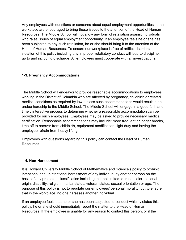Any employees with questions or concerns about equal employment opportunities in the workplace are encouraged to bring these issues to the attention of the Head of Human Resources. The Middle School will not allow any form of retaliation against individuals who raise issues of equal employment opportunity. If an employee feels he or she has been subjected to any such retaliation, he or she should bring it to the attention of the Head of Human Resources. To ensure our workplace is free of artificial barriers, violation of this policy including any improper retaliatory conduct will lead to discipline, up to and including discharge. All employees must cooperate with all investigations.

## **1-3. Pregnancy Accommodations**

The Middle School will endeavor to provide reasonable accommodations to employees working in the District of Columbia who are affected by pregnancy, childbirth or related medical conditions as required by law, unless such accommodations would result in an undue hardship to the Middle School. The Middle School will engage in a good faith and timely interactive process to determine whether a reasonable accommodation can be provided for such employees. Employees may be asked to provide necessary medical certification. Reasonable accommodations may include: more frequent or longer breaks, time off to recover from childbirth, equipment modification, light duty and having the employee refrain from heavy lifting.

Employees with questions regarding this policy can contact the Head of Human Resources.

#### **1-4. Non-Harassment**

It is Howard University Middle School of Mathematics and Science's policy to prohibit intentional and unintentional harassment of any individual by another person on the basis of any protected classification including, but not limited to, race, color, national origin, disability, religion, marital status, veteran status, sexual orientation or age. The purpose of this policy is not to regulate our employees' personal morality, but to ensure that in the workplace, no one harasses another individual.

If an employee feels that he or she has been subjected to conduct which violates this policy, he or she should immediately report the matter to the Head of Human Resources. If the employee is unable for any reason to contact this person, or if the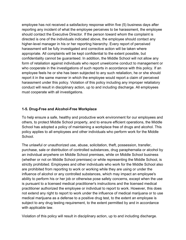employee has not received a satisfactory response within five (5) business days after reporting any incident of what the employee perceives to be harassment, the employee should contact the Executive Director. If the person toward whom the complaint is directed is one of the individuals indicated above, the employee should contact any higher-level manager in his or her reporting hierarchy. Every report of perceived harassment will be fully investigated and corrective action will be taken where appropriate. All complaints will be kept confidential to the extent possible, but confidentiality cannot be guaranteed. In addition, the Middle School will not allow any form of retaliation against individuals who report unwelcome conduct to management or who cooperate in the investigations of such reports in accordance with this policy. If an employee feels he or she has been subjected to any such retaliation, he or she should report it in the same manner in which the employee would report a claim of perceived harassment under this policy. Violation of this policy including any improper retaliatory conduct will result in disciplinary action, up to and including discharge. All employees must cooperate with all investigations.

#### **1-5. Drug-Free and Alcohol-Free Workplace**

To help ensure a safe, healthy and productive work environment for our employees and others, to protect Middle School property, and to ensure efficient operations, the Middle School has adopted a policy of maintaining a workplace free of drugs and alcohol. This policy applies to all employees and other individuals who perform work for the Middle School.

The unlawful or unauthorized use, abuse, solicitation, theft, possession, transfer, purchase, sale or distribution of controlled substances, drug paraphernalia or alcohol by an individual anywhere on Middle School premises, while on Middle School business (whether or not on Middle School premises) or while representing the Middle School, is strictly prohibited. Employees and other individuals who work for the Middle School also are prohibited from reporting to work or working while they are using or under the influence of alcohol or any controlled substances, which may impact an employee's ability to perform his or her job or otherwise pose safety concerns, except when the use is pursuant to a licensed medical practitioner's instructions and the licensed medical practitioner authorized the employee or individual to report to work. However, this does not extend any right to report to work under the influence of medical marijuana or to use medical marijuana as a defense to a positive drug test, to the extent an employee is subject to any drug testing requirement, to the extent permitted by and in accordance with applicable law.

Violation of this policy will result in disciplinary action, up to and including discharge.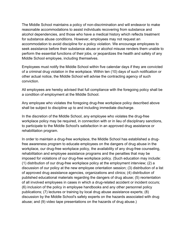The Middle School maintains a policy of non-discrimination and will endeavor to make reasonable accommodations to assist individuals recovering from substance and alcohol dependencies, and those who have a medical history which reflects treatment for substance abuse conditions. However, employees may not request an accommodation to avoid discipline for a policy violation. We encourage employees to seek assistance before their substance abuse or alcohol misuse renders them unable to perform the essential functions of their jobs, or jeopardizes the health and safety of any Middle School employee, including themselves.

Employees must notify the Middle School within five calendar days if they are convicted of a criminal drug violation in the workplace. Within ten (10) days of such notification or other actual notice, the Middle School will advise the contracting agency of such conviction.

All employees are hereby advised that full compliance with the foregoing policy shall be a condition of employment at the Middle School.

Any employee who violates the foregoing drug-free workplace policy described above shall be subject to discipline up to and including immediate discharge.

In the discretion of the Middle School, any employee who violates the drug-free workplace policy may be required, in connection with or in lieu of disciplinary sanctions, to participate to the Middle School's satisfaction in an approved drug assistance or rehabilitation program.

In order to maintain a drug-free workplace, the Middle School has established a drugfree awareness program to educate employees on the dangers of drug abuse in the workplace, our drug-free workplace policy, the availability of any drug-free counseling, rehabilitation and employee assistance programs and the penalties that may be imposed for violations of our drug-free workplace policy. (Such education may include: (1) distribution of our drug-free workplace policy at the employment interview; (2) a discussion of our policy at the new employee orientation session; (3) distribution of a list of approved drug assistance agencies, organizations and clinics; (4) distribution of published educational materials regarding the dangers of drug abuse; (5) reorientation of all involved employees in cases in which a drug-related accident or incident occurs; (6) inclusion of the policy in employee handbooks and any other personnel policy publications; (7) lectures or training by local drug abuse assistance experts; (8) discussion by the Middle School's safety experts on the hazards associated with drug abuse; and (9) video tape presentations on the hazards of drug abuse.)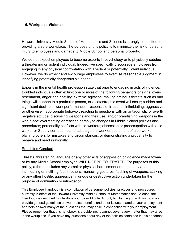#### **1-6. Workplace Violence**

Howard University Middle School of Mathematics and Science is strongly committed to providing a safe workplace. The purpose of this policy is to minimize the risk of personal injury to employees and damage to Middle School and personal property.

We do not expect employees to become experts in psychology or to physically subdue a threatening or violent individual. Indeed, we specifically discourage employees from engaging in any physical confrontation with a violent or potentially violent individual. However, we do expect and encourage employees to exercise reasonable judgment in identifying potentially dangerous situations.

Experts in the mental health profession state that prior to engaging in acts of violence, troubled individuals often exhibit one or more of the following behaviors or signs: overresentment, anger and hostility; extreme agitation; making ominous threats such as bad things will happen to a particular person, or a catastrophic event will occur; sudden and significant decline in work performance; irresponsible, irrational, intimidating, aggressive or otherwise inappropriate behavior; reacting to questions with an antagonistic or overtly negative attitude; discussing weapons and their use, and/or brandishing weapons in the workplace; overreacting or reacting harshly to changes in Middle School policies and procedures; personality conflicts with co-workers; obsession or preoccupation with a coworker or Supervisor; attempts to sabotage the work or equipment of a co-worker; blaming others for mistakes and circumstances; or demonstrating a propensity to behave and react irrationally.

#### Prohibited Conduct

Threats, threatening language or any other acts of aggression or violence made toward or by any Middle School employee WILL NOT BE TOLERATED. For purposes of this policy, a threat includes any verbal or physical harassment or abuse, any attempt at intimidating or instilling fear in others, menacing gestures, flashing of weapons, stalking or any other hostile, aggressive, injurious or destructive action undertaken for the purpose of domination or intimidation.

This Employee Handbook is a compilation of personnel policies, practices and procedures currently in effect at the Howard University Middle School of Mathematics and Science. the Handbook is designed to introduce you to our Middle School, familiarize you with our policies provide general guidelines on work rules, benefits and other issues related to your employment and help answer many of the questions that may arise in connection with your employment. Please remember that this handbook is a guideline. It cannot cover every matter that may arise in the workplace. If you have any questions about any of the policies contained in this handbook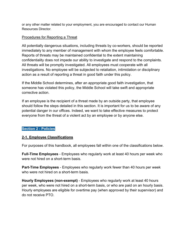or any other matter related to your employment, you are encouraged to contact our Human Resources Director.

#### Procedures for Reporting a Threat

All potentially dangerous situations, including threats by co-workers, should be reported immediately to any member of management with whom the employee feels comfortable. Reports of threats may be maintained confidential to the extent maintaining confidentiality does not impede our ability to investigate and respond to the complaints. All threats will be promptly investigated. All employees must cooperate with all investigations. No employee will be subjected to retaliation, intimidation or disciplinary action as a result of reporting a threat in good faith under this policy.

If the Middle School determines, after an appropriate good faith investigation, that someone has violated this policy, the Middle School will take swift and appropriate corrective action.

If an employee is the recipient of a threat made by an outside party, that employee should follow the steps detailed in this section. It is important for us to be aware of any potential danger in our offices. Indeed, we want to take effective measures to protect everyone from the threat of a violent act by an employee or by anyone else.

## **Section 2 - Policies**

## **2-1. Employee Classifications**

For purposes of this handbook, all employees fall within one of the classifications below.

**Full-Time Employees** - Employees who regularly work at least 40 hours per week who were not hired on a short-term basis.

**Part-Time Employees** - Employees who regularly work fewer than 40 hours per week who were not hired on a short-term basis.

**Hourly Employees (non-exempt)** - Employees who regularly work at least 40 hours per week, who were not hired on a short-term basis, or who are paid on an hourly basis. Hourly employees are eligible for overtime pay (when approved by their supervisor) and do not receive PTO.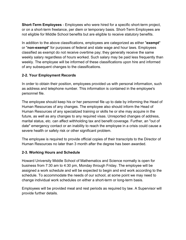**Short-Term Employees** - Employees who were hired for a specific short-term project, or on a short-term freelance, per diem or temporary basis. Short-Term Employees are not eligible for Middle School benefits but are eligible to receive statutory benefits.

In addition to the above classifications, employees are categorized as either "**exempt**" or "**non-exempt**" for purposes of federal and state wage and hour laws. Employees classified as exempt do not receive overtime pay; they generally receive the same weekly salary regardless of hours worked. Such salary may be paid less frequently than weekly. The employee will be informed of these classifications upon hire and informed of any subsequent changes to the classifications.

#### **2-2. Your Employment Records**

In order to obtain their position, employees provided us with personal information, such as address and telephone number. This information is contained in the employee's personnel file.

The employee should keep his or her personnel file up to date by informing the Head of Human Resources of any changes. The employee also should inform the Head of Human Resources of any specialized training or skills he or she may acquire in the future, as well as any changes to any required visas. Unreported changes of address, marital status, etc. can affect withholding tax and benefit coverage. Further, an "out of date" emergency contact or an inability to reach the employee in a crisis could cause a severe health or safety risk or other significant problem.

The employee is required to provide official copies of their transcripts to the Director of Human Resources no later than 3 month after the degree has been awarded.

#### **2-3. Working Hours and Schedule**

Howard University Middle School of Mathematics and Science normally is open for business from 7:30 am to 4:30 pm, Monday through Friday. The employee will be assigned a work schedule and will be expected to begin and end work according to the schedule. To accommodate the needs of our school, at some point we may need to change individual work schedules on either a short-term or long-term basis.

Employees will be provided meal and rest periods as required by law. A Supervisor will provide further details.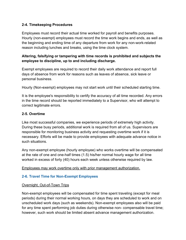## **2-4. Timekeeping Procedures**

Employees must record their actual time worked for payroll and benefits purposes. Hourly (non-exempt) employees must record the time work begins and ends, as well as the beginning and ending time of any departure from work for any non-work-related reason including lunches and breaks, using the time clock system.

## **Altering, falsifying or tampering with time records is prohibited and subjects the employee to discipline, up to and including discharge.**

Exempt employees are required to record their daily work attendance and report full days of absence from work for reasons such as leaves of absence, sick leave or personal business.

Hourly (Non-exempt) employees may not start work until their scheduled starting time.

It is the employee's responsibility to certify the accuracy of all time recorded. Any errors in the time record should be reported immediately to a Supervisor, who will attempt to correct legitimate errors.

#### **2-5. Overtime**

Like most successful companies, we experience periods of extremely high activity. During these busy periods, additional work is required from all of us. Supervisors are responsible for monitoring business activity and requesting overtime work if it is necessary. Efforts will be made to provide employees with adequate advance notice in such situations.

Any non-exempt employee (hourly employee) who works overtime will be compensated at the rate of one and one-half times (1.5) his/her normal hourly wage for all time worked in excess of forty (40) hours each week unless otherwise required by law.

#### Employees may work overtime only with prior management authorization.

## **2-6. Travel Time for Non-Exempt Employees**

## Overnight, Out-of-Town Trips

Non-exempt employees will be compensated for time spent traveling (except for meal periods) during their normal working hours, on days they are scheduled to work and on unscheduled work days (such as weekends). Non-exempt employees also will be paid for any time spent performing job duties during otherwise non- compensable travel time; however, such work should be limited absent advance management authorization.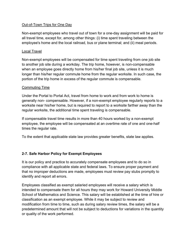## Out-of-Town Trips for One Day

Non-exempt employees who travel out of town for a one-day assignment will be paid for all travel time, except for, among other things: (i) time spent traveling between the employee's home and the local railroad, bus or plane terminal; and (ii) meal periods.

## Local Travel

Non-exempt employees will be compensated for time spent traveling from one job site to another job site during a workday. The trip home, however, is non-compensable when an employee goes directly home from his/her final job site, unless it is much longer than his/her regular commute home from the regular worksite. In such case, the portion of the trip home in excess of the regular commute is compensable.

## Commuting Time

Under the Portal to Portal Act, travel from home to work and from work to home is generally non- compensable. However, if a non-exempt employee regularly reports to a worksite near his/her home, but is required to report to a worksite farther away than the regular worksite, the additional time spent traveling is compensable.

If compensable travel time results in more than 40 hours worked by a non-exempt employee, the employee will be compensated at an overtime rate of one and one-half times the regular rate.

To the extent that applicable state law provides greater benefits, state law applies.

# **2-7. Safe Harbor Policy for Exempt Employees**

It is our policy and practice to accurately compensate employees and to do so in compliance with all applicable state and federal laws. To ensure proper payment and that no improper deductions are made, employees must review pay stubs promptly to identify and report all errors.

Employees classified as exempt salaried employees will receive a salary which is intended to compensate them for all hours they may work for Howard University Middle School of Mathematics and Science. This salary will be established at the time of hire or classification as an exempt employee. While it may be subject to review and modification from time to time, such as during salary review times, the salary will be a predetermined amount that will not be subject to deductions for variations in the quantity or quality of the work performed.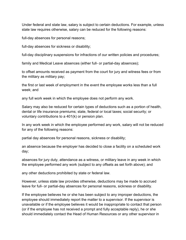Under federal and state law, salary is subject to certain deductions. For example, unless state law requires otherwise, salary can be reduced for the following reasons:

full-day absences for personal reasons;

full-day absences for sickness or disability;

full-day disciplinary suspensions for infractions of our written policies and procedures;

family and Medical Leave absences (either full- or partial-day absences);

to offset amounts received as payment from the court for jury and witness fees or from the military as military pay;

the first or last week of employment in the event the employee works less than a full week; and

any full work week in which the employee does not perform any work.

Salary may also be reduced for certain types of deductions such as a portion of health, dental or life insurance premiums; state, federal or local taxes; social security; or voluntary contributions to a 401(k) or pension plan.

In any work week in which the employee performed any work, salary will not be reduced for any of the following reasons:

partial day absences for personal reasons, sickness or disability;

an absence because the employer has decided to close a facility on a scheduled work day;

absences for jury duty, attendance as a witness, or military leave in any week in which the employee performed any work (subject to any offsets as set forth above); and

any other deductions prohibited by state or federal law.

However, unless state law provides otherwise, deductions may be made to accrued leave for full- or partial-day absences for personal reasons, sickness or disability.

If the employee believes he or she has been subject to any improper deductions, the employee should immediately report the matter to a supervisor. If the supervisor is unavailable or if the employee believes it would be inappropriate to contact that person (or if the employee has not received a prompt and fully acceptable reply), he or she should immediately contact the Head of Human Resources or any other supervisor in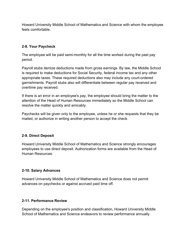Howard University Middle School of Mathematics and Science with whom the employee feels comfortable.

#### **2-8. Your Paycheck**

The employee will be paid semi-monthly for all the time worked during the past pay period.

Payroll stubs itemize deductions made from gross earnings. By law, the Middle School is required to make deductions for Social Security, federal income tax and any other appropriate taxes. These required deductions also may include any court-ordered garnishments. Payroll stubs also will differentiate between regular pay received and overtime pay received.

If there is an error in an employee's pay, the employee should bring the matter to the attention of the Head of Human Resources immediately so the Middle School can resolve the matter quickly and amicably.

Paychecks will be given only to the employee, unless he or she requests that they be mailed, or authorize in writing another person to accept the check.

## **2-9. Direct Deposit**

Howard University Middle School of Mathematics and Science strongly encourages employees to use direct deposit. Authorization forms are available from the Head of Human Resources.

#### **2-10. Salary Advances**

Howard University Middle School of Mathematics and Science does not permit advances on paychecks or against accrued paid time off.

#### **2-11. Performance Review**

Depending on the employee's position and classification, Howard University Middle School of Mathematics and Science endeavors to review performance annually.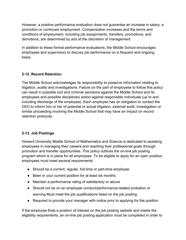However, a positive performance evaluation does not guarantee an increase in salary, a promotion or continued employment. Compensation increases and the terms and conditions of employment, including job assignments, transfers, promotions, and demotions, are determined by and at the discretion of management.

In addition to these formal performance evaluations, the Middle School encourages employees and supervisors to discuss job performance on a frequent and ongoing basis.

# **2-12. Record Retention**

The Middle School acknowledges its responsibility to preserve information relating to litigation, audits and investigations. Failure on the part of employees to follow this policy can result in possible civil and criminal sanctions against the Middle School and its employees and possible disciplinary action against responsible individuals (up to and including discharge of the employee). Each employee has an obligation to contact the CEO to inform him or her of potential or actual litigation, external audit, investigation or similar proceeding involving the Middle School that may have an impact on record retention protocols.

## **2-13. Job Postings**

Howard University Middle School of Mathematics and Science is dedicated to assisting employees in managing their careers and reaching their professional goals through promotion and transfer opportunities. This policy outlines the on-line job posting program which is in place for all employees. To be eligible to apply for an open position, employees must meet several requirements:

- Should be a current, regular, full-time or part-time employee
- Been in your current position for at least six months
- Maintain a performance rating of satisfactory or above
- Should not be on an employee conduct/performance-related probation or warning Must meet the job qualifications listed on the job posting
- Required to provide your manager with notice prior to applying for the position

If the employee finds a position of interest on the job posting website and meets the eligibility requirements, an on-line job posting application must be completed in order to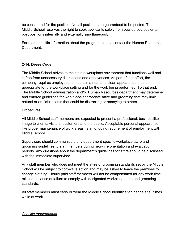be considered for the position. Not all positions are guaranteed to be posted. The Middle School reserves the right to seek applicants solely from outside sources or to post positions internally and externally simultaneously.

For more specific information about the program, please contact the Human Resources Department.

## **2-14. Dress Code**

The Middle School strives to maintain a workplace environment that functions well and is free from unnecessary distractions and annoyances. As part of that effort, the company requires employees to maintain a neat and clean appearance that is appropriate for the workplace setting and for the work being performed. To that end, The Middle School administration and/or Human Resources department may determine and enforce guidelines for workplace-appropriate attire and grooming that may limit natural or artificial scents that could be distracting or annoying to others.

#### Procedures

All Middle School staff members are expected to present a professional, businesslike image to clients, visitors, customers and the public. Acceptable personal appearance, like proper maintenance of work areas, is an ongoing requirement of employment with Middle School.

Supervisors should communicate any department-specific workplace attire and grooming guidelines to staff members during new-hire orientation and evaluation periods. Any questions about the department's guidelines for attire should be discussed with the immediate supervisor.

Any staff member who does not meet the attire or grooming standards set by the Middle School will be subject to corrective action and may be asked to leave the premises to change clothing. Hourly paid staff members will not be compensated for any work time missed because of failure to comply with designated workplace attire and grooming standards.

All staff members must carry or wear the Middle School identification badge at all times while at work.

## *Specific requirements*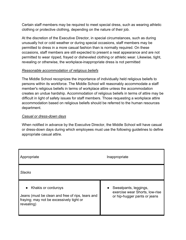Certain staff members may be required to meet special dress, such as wearing athletic clothing or protective clothing, depending on the nature of their job.

At the discretion of the Executive Director, in special circumstances, such as during unusually hot or cold weather or during special occasions, staff members may be permitted to dress in a more casual fashion than is normally required. On these occasions, staff members are still expected to present a neat appearance and are not permitted to wear ripped, frayed or disheveled clothing or athletic wear. Likewise, tight, revealing or otherwise, the workplace-inappropriate dress is not permitted

#### *Reasonable accommodation of religious beliefs*

The Middle School recognizes the importance of individually held religious beliefs to persons within its workforce. The Middle School will reasonably accommodate a staff member's religious beliefs in terms of workplace attire unless the accommodation creates an undue hardship. Accommodation of religious beliefs in terms of attire may be difficult in light of safety issues for staff members. Those requesting a workplace attire accommodation based on religious beliefs should be referred to the human resources department.

#### *Casual or dress-down days*

When notified in advance by the Executive Director, the Middle School will have casual or dress-down days during which employees must use the following guidelines to define appropriate casual attire.

| Appropriate                                                                                                                       | Inappropriate                                                                                        |  |
|-----------------------------------------------------------------------------------------------------------------------------------|------------------------------------------------------------------------------------------------------|--|
| <b>Slacks</b>                                                                                                                     |                                                                                                      |  |
| Khakis or corduroys<br>Jeans (must be clean and free of rips, tears and<br>fraying; may not be excessively tight or<br>revealing) | Sweatpants, leggings,<br>$\bullet$<br>exercise wear Shorts, low-rise<br>or hip-hugger pants or jeans |  |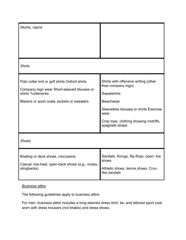| Skorts, capris                                                                                                                                                  |                                                                                                                                                                                                                    |
|-----------------------------------------------------------------------------------------------------------------------------------------------------------------|--------------------------------------------------------------------------------------------------------------------------------------------------------------------------------------------------------------------|
| <b>Shirts</b>                                                                                                                                                   |                                                                                                                                                                                                                    |
| Polo collar knit or golf shirts Oxford shirts<br>Company logo wear Short-sleeved blouses or<br>shirts Turtlenecks<br>Blazers or sport coats Jackets or sweaters | Shirts with offensive writing (other<br>than company logo)<br><b>Sweatshirts</b><br><b>Beachwear</b><br>Sleeveless blouses or shirts Exercise<br>wear<br>Crop tops, clothing showing midriffs,<br>spaghetti straps |
| <b>Shoes</b>                                                                                                                                                    |                                                                                                                                                                                                                    |
| Boating or deck shoes, moccasins<br>Casual, low-heel, open-back shoes (e.g., mules,<br>slingbacks)                                                              | Sandals, thongs, flip-flops, open- toe<br>shoes<br>Athletic shoes, tennis shoes, Croc-<br>like sandals                                                                                                             |

## *Business attire*

The following guidelines apply to business attire:

For men, business attire includes a long-sleeved dress shirt, tie, and tailored sport coat worn with dress trousers (not khakis) and dress shoes.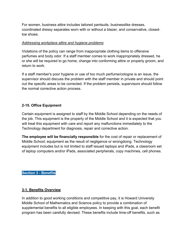For women, business attire includes tailored pantsuits, businesslike dresses, coordinated dressy separates worn with or without a blazer, and conservative, closedtoe shoes.

#### *Addressing workplace attire and hygiene problems*

Violations of the policy can range from inappropriate clothing items to offensive perfumes and body odor. If a staff member comes to work inappropriately dressed, he or she will be required to go home, change into conforming attire or properly groom, and return to work.

If a staff member's poor hygiene or use of too much perfume/cologne is an issue, the supervisor should discuss the problem with the staff member in private and should point out the specific areas to be corrected. If the problem persists, supervisors should follow the normal corrective action process.

#### **2-15. Office Equipment**

Certain equipment is assigned to staff by the Middle School depending on the needs of the job. This equipment is the property of the Middle School and it is expected that you will treat this equipment with care and report any malfunctions immediately to the Technology department for diagnosis, repair and corrective action.

**The employee will be financially responsible** for the cost of repair or replacement of Middle School; equipment as the result of negligence or wrongdoing. Technology equipment includes but is not limited to staff issued laptops and iPads, a classroom set of laptop computers and/or iPads, associated peripherals, copy machines, cell phones.

#### **Section 3 - Benefits**

#### **3-1. Benefits Overview**

In addition to good working conditions and competitive pay, it is Howard University Middle School of Mathematics and Science policy to provide a combination of supplemental benefits to all eligible employees. In keeping with this goal, each benefit program has been carefully devised. These benefits include time-off benefits, such as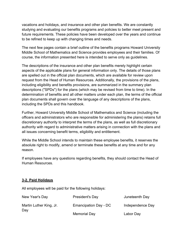vacations and holidays, and insurance and other plan benefits. We are constantly studying and evaluating our benefits programs and policies to better meet present and future requirements. These policies have been developed over the years and continue to be refined to keep up with changing times and needs.

The next few pages contain a brief outline of the benefits programs Howard University Middle School of Mathematics and Science provides employees and their families. Of course, the information presented here is intended to serve only as guidelines.

The descriptions of the insurance and other plan benefits merely highlight certain aspects of the applicable plans for general information only. The details of those plans are spelled out in the official plan documents, which are available for review upon request from the Head of Human Resources. Additionally, the provisions of the plans, including eligibility and benefits provisions, are summarized in the summary plan descriptions ("SPDs") for the plans (which may be revised from time to time). In the determination of benefits and all other matters under each plan, the terms of the official plan documents shall govern over the language of any descriptions of the plans, including the SPDs and this handbook.

Further, Howard University Middle School of Mathematics and Science (including the officers and administrators who are responsible for administering the plans) retains full discretionary authority to interpret the terms of the plans, as well as full discretionary authority with regard to administrative matters arising in connection with the plans and all issues concerning benefit terms, eligibility and entitlement.

While the Middle School intends to maintain these employee benefits, it reserves the absolute right to modify, amend or terminate these benefits at any time and for any reason.

If employees have any questions regarding benefits, they should contact the Head of Human Resources.

#### **3-2. Paid Holidays**

All employees will be paid for the following holidays:

| New Year's Day                 | President's Day              | Juneteenth Day   |
|--------------------------------|------------------------------|------------------|
| Martin Luther King, Jr.<br>Day | <b>Emancipation Day - DC</b> | Independence Day |
|                                | Memorial Day                 | Labor Day        |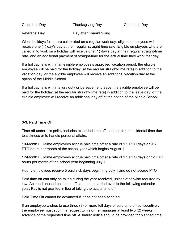| Columbus Day  | <b>Thanksgiving Day</b> | Christmas Day |
|---------------|-------------------------|---------------|
| Veterans' Day | Day after Thanksgiving  |               |

When holidays fall or are celebrated on a regular work day, eligible employees will receive one (1) day's pay at their regular straight-time rate. Eligible employees who are called in to work on a holiday will receive one (1) day's pay at their regular straight-time rate, and an additional payment of straight-time for the actual time they work that day.

If a holiday falls within an eligible employee's approved vacation period, the eligible employee will be paid for the holiday (at the regular straight-time rate) in addition to the vacation day, or the eligible employee will receive an additional vacation day at the option of the Middle School.

If a holiday falls within a jury duty or bereavement leave, the eligible employee will be paid for the holiday (at the regular straight-time rate) in addition to the leave day, or the eligible employee will receive an additional day off at the option of the Middle School.

# **3-3. Paid Time Off**

Time off under this policy includes extended time off, such as for an incidental time due to sickness or to handle personal affairs.

10-Month Full-time employees accrue paid time off at a rate of 1.2 PTO days or 9.6 PTO hours per month of the school year which begins August 1

12-Month Full-time employees accrue paid time off at a rate of 1.5 PTO days or 12 PTO hours per month of the school year beginning July 1.

Hourly employees receive 5 paid sick days beginning July 1 and do not accrue PTO

Paid time off can only be taken during the year received, unless otherwise required by law. Accrued unused paid time off can not be carried over to the following calendar year. Pay is not granted in lieu of taking the actual time off.

Paid Time Off cannot be advanced if it has not been accrued.

If an employee wishes to use three (3) or more full days of paid time off consecutively, the employee must submit a request to his or her manager at least two (2) weeks in advance of the requested time off. A similar notice should be provided for planned time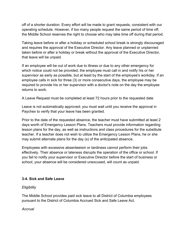off of a shorter duration. Every effort will be made to grant requests, consistent with our operating schedule. However, if too many people request the same period of time off, the Middle School reserves the right to choose who may take time off during that period.

Taking leave before or after a holiday or scheduled school break is strongly discouraged and requires the approval of the Executive Director. Any leave planned or unplanned taken before or after a holiday or break without the approval of the Executive Director, that leave will be unpaid.

If an employee will be out of work due to illness or due to any other emergency for which notice could not be provided, the employee must call in and notify his or her supervisor as early as possible, but at least by the start of the employee's workday. If an employee calls in sick for three (3) or more consecutive days, the employee may be required to provide his or her supervisor with a doctor's note on the day the employee returns to work.

A Leave Request must be completed at least 72 hours prior to the requested date

Leave is not automatically approved; you must wait until you receive the approval in Paychex to verify that your leave has been granted.

Prior to the date of the requested absence, the teacher must have submitted at least 2 days worth of Emergency Lesson Plans. Teachers must provide information regarding lesson plans for the day, as well as instructions and class procedures for the substitute teacher. If a teacher does not wish to utilize the Emergency Lesson Plans, he or she may submit alternate plans for the day (s) of the anticipated absence.

Employees with excessive absenteeism or tardiness cannot perform their jobs effectively. Their absence or lateness disrupts the operation of the office or school. If you fail to notify your supervisor or Executive Director before the start of business or school, your absence will be considered unexcused, will count as unpaid.

#### **3-4. Sick and Safe Leave**

#### *Eligibility*

The Middle School provides paid sick leave to all District of Columbia employees pursuant to the District of Columbia Accrued Sick and Safe Leave Act.

*Accrual*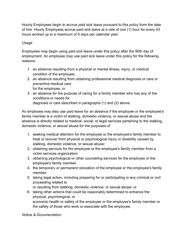Hourly Employees begin to accrue paid sick leave pursuant to this policy from the date of hire. Hourly Employees accrue paid sick leave at a rate of one (1) hour for every 43 hours worked up to a maximum of 5 days per calendar year.

#### *Usage*

Employees may begin using paid sick leave under this policy after the 90th day of employment. An employee may use paid sick leave under this policy for the following reasons:

- 1. an absence resulting from a physical or mental illness, injury, or medical condition of the employee;
- 2. an absence resulting from obtaining professional medical diagnosis or care or preventive medical care for the employee; or
- 3. an absence for the purpose of caring for a family member who has any of the conditions or needs for diagnosis or care described in paragraphs (1) and (2) above.

An employee may also use paid leave for an absence if the employee or the employee's family member is a victim of stalking, domestic violence, or sexual abuse and the absence is directly related to medical, social, or legal services pertaining to the stalking, domestic violence, or sexual abuse for the purposes of:

- 1. seeking medical attention for the employee or the employee's family member to treat or recover from physical or psychological injury or disability caused by stalking, domestic violence, or sexual abuse;
- 2. obtaining services for the employee or the employee's family member from a victim services organization;
- 3. obtaining psychological or other counseling services for the employee or the employee's family member;
- 4. the temporary or permanent relocation of the employee or the employee's family member;
- 5. taking legal action, including preparing for or participating in any criminal or civil proceeding related to
	- or resulting from stalking, domestic violence, or sexual abuse; or
- 6. taking other actions that could be reasonably determined to enhance the physical, psychological, or economic health or safety of the employee or the employee's family member or the safety of those who work or associate with the employee.

#### *Notice & Documentation*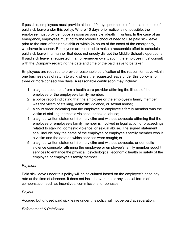If possible, employees must provide at least 10 days prior notice of the planned use of paid sick leave under this policy. Where 10 days prior notice is not possible, the employee must provide notice as soon as possible, ideally in writing. In the case of an emergency, employees must notify the Middle School of need to use paid sick leave prior to the start of their next shift or within 24 hours of the onset of the emergency, whichever is sooner. Employees are required to make a reasonable effort to schedule paid sick leave in a manner that does not unduly disrupt the Middle School's operations. If paid sick leave is requested in a non-emergency situation, the employee must consult with the Company regarding the date and time of the paid leave to be taken.

Employees are required to provide reasonable certification of the reason for leave within one business day of return to work where the requested leave under this policy is for three or more consecutive days. A reasonable certification may include:

- 1. a signed document from a health care provider affirming the illness of the employee or the employee's family member;
- 2. a police report indicating that the employee or the employee's family member was the victim of stalking, domestic violence, or sexual abuse;
- 3. a court order indicating that the employee or employee's family member was the victim of stalking, domestic violence, or sexual abuse;
- 4. a signed written statement from a victim and witness advocate affirming that the employee or employee's family member is involved in legal action or proceedings related to stalking, domestic violence, or sexual abuse. The signed statement shall include only the name of the employee or employee's family member who is a victim and the date on which services were sought; or
- 5. a signed written statement from a victim and witness advocate, or domestic violence counselor affirming the employee or employee's family member sought services to enhance the physical, psychological, economic health or safety of the employee or employee's family member.

## *Payment*

Paid sick leave under this policy will be calculated based on the employee's base pay rate at the time of absence. It does not include overtime or any special forms of compensation such as incentives, commissions, or bonuses.

## *Payout*

Accrued but unused paid sick leave under this policy will not be paid at separation.

## *Enforcement & Retaliation*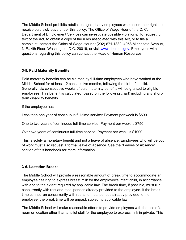The Middle School prohibits retaliation against any employees who assert their rights to receive paid sick leave under this policy. The Office of Wage-Hour of the D. C. Department of Employment Services can investigate possible violations. To request full text of the Act, to obtain a copy of the rules associated with this Act, or to file a complaint, contact the Office of Wage-Hour at (202) 671-1880, 4058 Minnesota Avenue, N.E., 4th Floor, Washington, D.C. 20019, or visit www.does.dc.gov. Employees with questions regarding this policy can contact the Head of Human Resources.

#### **3-5. Paid Maternity Benefits**

Paid maternity benefits can be claimed by full-time employees who have worked at the Middle School for at least 12 consecutive months, following the birth of a child. Generally, six consecutive weeks of paid maternity benefits will be granted to eligible employees. This benefit is calculated (based on the following chart) including any shortterm disability benefits.

If the employee has:

Less than one year of continuous full-time service: Payment per week is \$500.

One to two years of continuous full-time service: Payment per week is \$750.

Over two years of continuous full-time service: Payment per week is \$1000.

This is solely a monetary benefit and not a leave of absence. Employees who will be out of work must also request a formal leave of absence. See the "Leaves of Absence" section of this handbook for more information.

## **3-6. Lactation Breaks**

The Middle School will provide a reasonable amount of break time to accommodate an employee desiring to express breast milk for the employee's infant child, in accordance with and to the extent required by applicable law. The break time, if possible, must run concurrently with rest and meal periods already provided to the employee. If the break time cannot run concurrently with rest and meal periods already provided to the employee, the break time will be unpaid, subject to applicable law.

The Middle School will make reasonable efforts to provide employees with the use of a room or location other than a toilet stall for the employee to express milk in private. This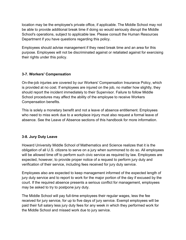location may be the employee's private office, if applicable. The Middle School may not be able to provide additional break time if doing so would seriously disrupt the Middle School's operations, subject to applicable law. Please consult the Human Resources Department if you have questions regarding this policy.

Employees should advise management if they need break time and an area for this purpose. Employees will not be discriminated against or retaliated against for exercising their rights under this policy.

## **3-7. Workers' Compensation**

On-the-job injuries are covered by our Workers' Compensation Insurance Policy, which is provided at no cost. If employees are injured on the job, no matter how slightly, they should report the incident immediately to their Supervisor. Failure to follow Middle School procedures may affect the ability of the employee to receive Workers Compensation benefits.

This is solely a monetary benefit and not a leave of absence entitlement. Employees who need to miss work due to a workplace injury must also request a formal leave of absence. See the Leave of Absence sections of this handbook for more information.

# **3-8. Jury Duty Leave**

Howard University Middle School of Mathematics and Science realizes that it is the obligation of all U.S. citizens to serve on a jury when summoned to do so. All employees will be allowed time off to perform such civic service as required by law. Employees are expected, however, to provide proper notice of a request to perform jury duty and verification of their service, including fees received for jury duty service.

Employees also are expected to keep management informed of the expected length of jury duty service and to report to work for the major portion of the day if excused by the court. If the required absence presents a serious conflict for management, employees may be asked to try to postpone jury duty.

The Middle School will pay full-time employees their regular wages, less the fee received for jury service, for up to five days of jury service. Exempt employees will be paid their full salary less jury duty fees for any week in which they performed work for the Middle School and missed work due to jury service.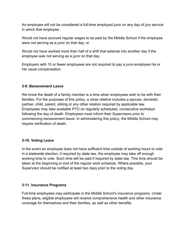An employee will not be considered a full-time employed juror on any day of jury service in which that employee:

Would not have accrued regular wages to be paid by the Middle School if the employee were not serving as a juror on that day; or

Would not have worked more than half of a shift that extends into another day if the employee was not serving as a juror on that day.

Employers with 10 or fewer employees are not required to pay a juror-employee his or her usual compensation.

#### **3-9. Bereavement Leave**

We know the death of a family member is a time when employees wish to be with their families. For the purposes of this policy, a close relative includes a spouse, domestic partner, child, parent, sibling or any other relation required by applicable law. Employees may take available PTO on regularly scheduled, consecutive workdays following the day of death. Employees must inform their Supervisors prior to commencing bereavement leave. In administering this policy, the Middle School may require verification of death.

#### **3-10. Voting Leave**

In the event an employee does not have sufficient time outside of working hours to vote in a statewide election, if required by state law, the employee may take off enough working time to vote. Such time will be paid if required by state law. This time should be taken at the beginning or end of the regular work schedule. Where possible, your Supervisor should be notified at least two days prior to the voting day.

#### **3-11. Insurance Programs**

Full-time employees may participate in the Middle School's insurance programs. Under these plans, eligible employees will receive comprehensive health and other insurance coverage for themselves and their families, as well as other benefits.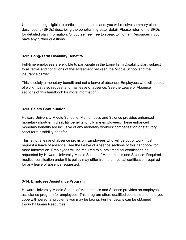Upon becoming eligible to participate in these plans, you will receive summary plan descriptions (SPDs) describing the benefits in greater detail. Please refer to the SPDs for detailed plan information. Of course, feel free to speak to Human Resources if you have any further questions.

## **3-12. Long-Term Disability Benefits**

Full-time employees are eligible to participate in the Long-Term Disability plan, subject to all terms and conditions of the agreement between the Middle School and the insurance carrier.

This is solely a monetary benefit and not a leave of absence. Employees who will be out of work must also request a formal leave of absence. See the Leave of Absence sections of this handbook for more information.

## **3-13. Salary Continuation**

Howard University Middle School of Mathematics and Science provides enhanced monetary short-term disability benefits to full-time employees. These enhanced monetary benefits are inclusive of any monetary workers' compensation or statutory short-term disability benefits.

This is not a leave of absence provision. Employees who will be out of work must request a leave of absence. See the Leave of Absence sections of this handbook for more information. Employees will be required to submit medical certification as requested by Howard University Middle School of Mathematics and Science. Required medical certification under this policy may differ from the medical certification required for any leave of absence requested.

## **3-14. Employee Assistance Program**

Howard University Middle School of Mathematics and Science provides an employee assistance program for employees. This program offers qualified counselors to help you cope with personal problems you may be facing. Further details can be obtained through Human Resources.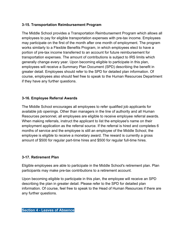## **3-15. Transportation Reimbursement Program**

The Middle School provides a Transportation Reimbursement Program which allows all employees to pay for eligible transportation expenses with pre-tax income. Employees may participate on the first of the month after one month of employment. The program works similarly to a Flexible Benefits Program, in which employees elect to have a portion of pre-tax income transferred to an account for future reimbursement for transportation expenses. The amount of contributions is subject to IRS limits which generally change every year. Upon becoming eligible to participate in this plan, employees will receive a Summary Plan Document (SPD) describing the benefit in greater detail. Employees should refer to the SPD for detailed plan information. Of course, employees also should feel free to speak to the Human Resources Department if they have any further questions.

## **3-16. Employee Referral Awards**

The Middle School encourages all employees to refer qualified job applicants for available job openings. Other than managers in the line of authority and all Human Resources personnel, all employees are eligible to receive employee referral awards. When making referrals, instruct the applicant to list the employee's name on their employment application as the referral source. If the referral is hired and completes 6 months of service and the employee is still an employee of the Middle School, the employee is eligible to receive a monetary award. The reward is currently a gross amount of \$500 for regular part-time hires and \$500 for regular full-time hires.

## **3-17. Retirement Plan**

Eligible employees are able to participate in the Middle School's retirement plan. Plan participants may make pre-tax contributions to a retirement account.

Upon becoming eligible to participate in this plan, the employee will receive an SPD describing the plan in greater detail. Please refer to the SPD for detailed plan information. Of course, feel free to speak to the Head of Human Resources if there are any further questions.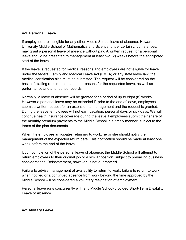#### **4-1. Personal Leave**

If employees are ineligible for any other Middle School leave of absence, Howard University Middle School of Mathematics and Science, under certain circumstances, may grant a personal leave of absence without pay. A written request for a personal leave should be presented to management at least two (2) weeks before the anticipated start of the leave.

If the leave is requested for medical reasons and employees are not eligible for leave under the federal Family and Medical Leave Act (FMLA) or any state leave law, the medical certification also must be submitted. The request will be considered on the basis of staffing requirements and the reasons for the requested leave, as well as performance and attendance records.

Normally, a leave of absence will be granted for a period of up to eight (8) weeks. However a personal leave may be extended if, prior to the end of leave, employees submit a written request for an extension to management and the request is granted. During the leave, employees will not earn vacation, personal days or sick days. We will continue health insurance coverage during the leave if employees submit their share of the monthly premium payments to the Middle School in a timely manner, subject to the terms of the plan documents.

When the employee anticipates returning to work, he or she should notify the management of the expected return date. This notification should be made at least one week before the end of the leave.

Upon completion of the personal leave of absence, the Middle School will attempt to return employees to their original job or a similar position, subject to prevailing business considerations. Reinstatement, however, is not guaranteed.

Failure to advise management of availability to return to work, failure to return to work when notified or a continued absence from work beyond the time approved by the Middle School will be considered a voluntary resignation of employment.

Personal leave runs concurrently with any Middle School-provided Short-Term Disability Leave of Absence.

#### **4-2. Military Leave**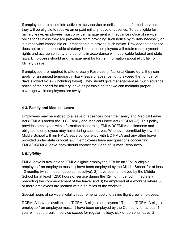If employees are called into active military service or enlist in the uniformed services, they will be eligible to receive an unpaid military leave of absence. To be eligible for military leave, employees must provide management with advance notice of service obligations unless they are prevented from providing such notice by military necessity or it is otherwise impossible or unreasonable to provide such notice. Provided the absence does not exceed applicable statutory limitations, employees will retain reemployment rights and accrue seniority and benefits in accordance with applicable federal and state laws. Employees should ask management for further information about eligibility for Military Leave.

If employees are required to attend yearly Reserves or National Guard duty, they can apply for an unpaid temporary military leave of absence not to exceed the number of days allowed by law (including travel). They should give management as much advance notice of their need for military leave as possible so that we can maintain proper coverage while employees are away.

## **4-3. Family and Medical Leave**

Employees may be entitled to a leave of absence under the Family and Medical Leave Act ("FMLA") and/or the D.C. Family and Medical Leave Act ("DCFMLA"). This policy provides employees with information concerning FMLA/DCFMLA entitlements and obligations employees may have during such leaves. Whenever permitted by law, the Middle School will run FMLA leave concurrently with DC FMLA and any other leave provided under state or local law. If employees have any questions concerning FMLA/DCFMLA leave, they should contact the Head of Human Resources.

## *I. Eligibility*

FMLA leave is available to "FMLA eligible employees." To be an "FMLA eligible employee," an employee must: 1) have been employed by the Middle School for at least 12 months (which need not be consecutive); 2) have been employed by the Middle School for at least 1,250 hours of service during the 12-month period immediately preceding the commencement of the leave; and 3) be employed at a worksite where 50 or more employees are located within 75 miles of the worksite.

Special hours of service eligibility requirements apply to airline flight crew employees.

DCFMLA leave is available to "DCFMLA eligible employees." To be a "DCFMLA eligible employee," an employee must: 1) have been employed by the Company for at least 1 year without a break in service except for regular holiday, sick or personal leave; 2)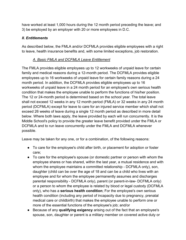have worked at least 1,000 hours during the 12 month period preceding the leave; and 3) be employed by an employer with 20 or more employees in D.C.

#### *II. Entitlements*

As described below, the FMLA and/or DCFMLA provides eligible employees with a right to leave, health insurance benefits and, with some limited exceptions, job restoration.

#### *A. Basic FMLA and DCFMLA Leave Entitlement*

The FMLA provides eligible employees up to 12 workweeks of unpaid leave for certain family and medical reasons during a 12-month period. The DCFMLA provides eligible employees up to 16 workweeks of unpaid leave for certain family reasons during a 24 month period. In addition, the DCFMLA provides eligible employees up to 16 workweeks of unpaid leave in a 24 month period for an employee's own serious health condition that makes the employee unable to perform the functions of his/her position. The 12 or 24-month period is determined based on the school year. The total leave shall not exceed 12 weeks in any 12 month period (FMLA) or 32 weeks in any 24 month period (DCFMLA) except for leave to care for an injured service member which shall not exceed 26 weeks of leave during a single 12 month period as described in more detail below. Where both laws apply, the leave provided by each will run concurrently. It is the Middle School's policy to provide the greater leave benefit provided under the FMLA or DCFMLA and to run leave concurrently under the FMLA and DCFMLA whenever possible.

Leave may be taken for any one, or for a combination, of the following reasons:

- To care for the employee's child after birth, or placement for adoption or foster care;
- To care for the employee's spouse (or domestic partner or person with whom the employee shares or has shared, within the last year, a mutual residence and with whom the employee maintains a committed relationship - DCFMLA only), son, daughter (child can be over the age of 18 and can be a child who lives with an employee and for whom the employee permanently assumes and discharges parental responsibility - DCFMLA only), parent (or parent-in-law- DCFMLA only) or a person to whom the employee is related by blood or legal custody (DCFMLA only), who has a **serious health condition**; For the employee's own serious health condition (including any period of incapacity due to pregnancy, prenatal medical care or childbirth) that makes the employee unable to perform one or more of the essential functions of the employee's job; and/or
- Because of any **qualifying exigency** arising out of the fact that an employee's spouse, son, daughter or parent is a military member on covered active duty or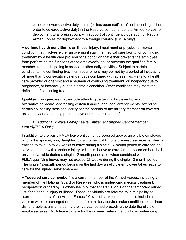called to covered active duty status (or has been notified of an impending call or order to covered active duty) in the Reserve component of the Armed Forces for deployment to a foreign country in support of contingency operation or Regular Armed Forces for deployment to a foreign country. (FMLA only).

A **serious health condition** is an illness, injury, impairment or physical or mental condition that involves either an overnight stay in a medical care facility, or continuing treatment by a health care provider for a condition that either prevents the employee from performing the functions of the employee's job, or prevents the qualified family member from participating in school or other daily activities. Subject to certain conditions, the continuing treatment requirement may be met by a period of incapacity of more than 3 consecutive calendar days combined with at least two visits to a health care provider or one visit and a regimen of continuing treatment, or incapacity due to pregnancy, or incapacity due to a chronic condition. Other conditions may meet the definition of continuing treatment.

**Qualifying exigencies** may include attending certain military events, arranging for alternative childcare, addressing certain financial and legal arrangements, attending certain counseling sessions, caring for the parents of the military member on covered active duty and attending post-deployment reintegration briefings.

# *B. Additional Military Family Leave Entitlement (Injured Servicemember Leave)(FMLA Only)*

In addition to the basic FMLA leave entitlement discussed above, an eligible employee who is the spouse, son, daughter, parent or next of kin of a **covered servicemember** is entitled to take up to 26 weeks of leave during a single 12-month period to care for the servicemember with a serious injury or illness. Leave to care for a servicemember shall only be available during a single-12 month period and, when combined with other FMLA-qualifying leave, may not exceed 26 weeks during the single 12-month period. The single 12-month period begins on the first day an eligible employee takes leave to care for the injured servicemember.

A **"covered servicemember"** is a current member of the Armed Forces, including a member of the National Guard or Reserves, who is undergoing medical treatment, recuperation or therapy, is otherwise in outpatient status, or is on the temporary retired list, for a serious injury or illness. These individuals are referred to in this policy as "current members of the Armed Forces." Covered servicemembers also include a veteran who is discharged or released from military service under conditions other than dishonorable at any time during the five year period preceding the date the eligible employee takes FMLA leave to care for the covered veteran, and who is undergoing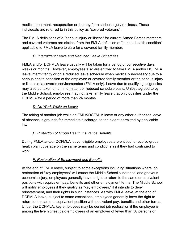medical treatment, recuperation or therapy for a serious injury or illness. These individuals are referred to in this policy as "covered veterans".

The FMLA definitions of a "serious injury or illness" for current Armed Forces members and covered veterans are distinct from the FMLA definition of "serious health condition" applicable to FMLA leave to care for a covered family member.

## *C. Intermittent Leave and Reduced Leave Schedules*

FMLA and/or DCFMLA leave usually will be taken for a period of consecutive days, weeks or months. However, employees also are entitled to take FMLA and/or DCFMLA leave intermittently or on a reduced leave schedule when medically necessary due to a serious health condition of the employee or covered family member or the serious injury or illness of a covered servicemember (FMLA only). Leave due to qualifying exigencies may also be taken on an intermittent or reduced schedule basis. Unless agreed to by the Middle School, employees may not take family leave that only qualifies under the DCFMLA for a period of more than 24 months.

## *D. No Work While on Leave*

The taking of another job while on FMLA/DCFMLA leave or any other authorized leave of absence is grounds for immediate discharge, to the extent permitted by applicable law.

# *E. Protection of Group Health Insurance Benefits*

During FMLA and/or DCFMLA leave, eligible employees are entitled to receive group health plan coverage on the same terms and conditions as if they had continued to work.

# *F. Restoration of Employment and Benefits*

At the end of FMLA leave, subject to some exceptions including situations where job restoration of "key employees" will cause the Middle School substantial and grievous economic injury, employees generally have a right to return to the same or equivalent positions with equivalent pay, benefits and other employment terms. The Middle School will notify employees if they qualify as "key employees," if it intends to deny reinstatement, and their rights in such instances. As with FMLA leave, at the end of DCFMLA leave, subject to some exceptions, employees generally have the right to return to the same or equivalent position with equivalent pay, benefits and other terms. Under the DCFMLA, key employees may be denied job restoration if the employee is among the five highest paid employees of an employer of fewer than 50 persons or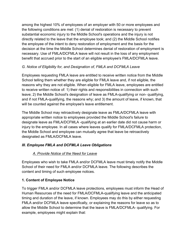among the highest 10% of employees of an employer with 50 or more employees and the following conditions are met: (1) denial of restoration is necessary to prevent substantial economic injury to the Middle School's operations and the injury is not directly related to the leave that the employee took; and (2) the Middle School notifies the employee of the intent to deny restoration of employment and the basis for the decision at the time the Middle School determines denial of restoration of employment is necessary. Use of FMLA/DCFMLA leave will not result in the loss of any employment benefit that accrued prior to the start of an eligible employee's FMLA/DCFMLA leave.

# *G. Notice of Eligibility for, and Designation of, FMLA and DCFMLA Leave*

Employees requesting FMLA leave are entitled to receive written notice from the Middle School telling them whether they are eligible for FMLA leave and, if not eligible, the reasons why they are not eligible. When eligible for FMLA leave, employees are entitled to receive written notice of: 1) their rights and responsibilities in connection with such leave; 2) the Middle School's designation of leave as FMLA-qualifying or non- qualifying, and if not FMLA-qualifying, the reasons why; and 3) the amount of leave, if known, that will be counted against the employee's leave entitlement.

The Middle School may retroactively designate leave as FMLA/DCFMLA leave with appropriate written notice to employees provided the Middle School's failure to designate leave as FMLA/DCFMLA -qualifying at an earlier date did not cause harm or injury to the employee. In all cases where leaves qualify for FMLA/DCFMLA protection, the Middle School and employee can mutually agree that leave be retroactively designated as FMLA/DCFMLA leave.

# *III. Employee FMLA and DCFMLA Leave Obligations*

# *A. Provide Notice of the Need for Leave*

Employees who wish to take FMLA and/or DCFMLA leave must timely notify the Middle School of their need for FMLA and/or DCFMLA leave. The following describes the content and timing of such employee notices.

# **1. Content of Employee Notice**

To trigger FMLA and/or DCFMLA leave protections, employees must inform the Head of Human Resources of the need for FMLA/DCFMLA-qualifying leave and the anticipated timing and duration of the leave, if known. Employees may do this by either requesting FMLA and/or DCFMLA leave specifically, or explaining the reasons for leave so as to allow the Middle School to determine that the leave is FMLA/DCFMLA- qualifying. For example, employees might explain that: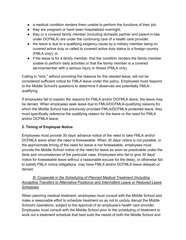- a medical condition renders them unable to perform the functions of their job;
- they are pregnant or have been hospitalized overnight;
- they or a covered family member (including domestic partner and parent-in-law under DCFMLA) are under the continuing care of a health care provider;
- the leave is due to a qualifying exigency cause by a military member being on covered active duty or called to covered active duty status to a foreign country (FMLA only); or
- if the leave is for a family member, that the condition renders the family member unable to perform daily activities or that the family member is a covered servicemember with a serious injury or illness (FMLA only).

Calling in "sick," without providing the reasons for the needed leave, will not be considered sufficient notice for FMLA leave under this policy. Employees must respond to the Middle School's questions to determine if absences are potentially FMLAqualifying.

If employees fail to explain the reasons for FMLA and/or DCFMLA leave, the leave may be denied. When employees seek leave due to FMLA/DCFMLA-qualifying reasons for which the Middle School has previously provided FMLA/DCFMLA-protected leave, they must specifically reference the qualifying reason for the leave or the need for FMLA and/or DCFMLA leave.

# **2. Timing of Employee Notice**

Employees must provide 30 days' advance notice of the need to take FMLA and/or DCFMLA leave when the need is foreseeable. When 30 days' notice is not possible, or the approximate timing of the need for leave is not foreseeable, employees must provide the Middle School notice of the need for leave as soon as practicable under the facts and circumstances of the particular case. Employees who fail to give 30 days' notice for foreseeable leave without a reasonable excuse for the delay, or otherwise fail to satisfy FMLA notice obligations, may have FMLA and/or DCFMLA leave delayed or denied.

# *B. Cooperate in the Scheduling of Planned Medical Treatment (Including Accepting Transfers to Alternative Positions) and Intermittent Leave or Reduced Leave Schedules*

When planning medical treatment, employees must consult with the Middle School and make a reasonable effort to schedule treatment so as not to unduly disrupt the Middle School's operations, subject to the approval of an employee's health care provider. Employees must consult with the Middle School prior to the scheduling of treatment to work out a treatment schedule that best suits the needs of both the Middle School and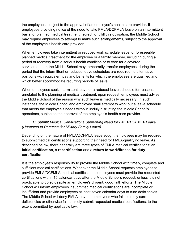the employees, subject to the approval of an employee's health care provider. If employees providing notice of the need to take FMLA/DCFMLA leave on an intermittent basis for planned medical treatment neglect to fulfill this obligation, the Middle School may require employees to attempt to make such arrangements, subject to the approval of the employee's health care provider.

When employees take intermittent or reduced work schedule leave for foreseeable planned medical treatment for the employee or a family member, including during a period of recovery from a serious health condition or to care for a covered servicemember, the Middle School may temporarily transfer employees, during the period that the intermittent or reduced leave schedules are required, to alternative positions with equivalent pay and benefits for which the employees are qualified and which better accommodate recurring periods of leave.

When employees seek intermittent leave or a reduced leave schedule for reasons unrelated to the planning of medical treatment, upon request, employees must advise the Middle School of the reason why such leave is medically necessary. In such instances, the Middle School and employee shall attempt to work out a leave schedule that meets the employee's needs without unduly disrupting the Middle School's operations, subject to the approval of the employee's health care provider.

# *C. Submit Medical Certifications Supporting Need for FMLA/DCFMLA Leave (Unrelated to Requests for Military Family Leave)*

Depending on the nature of FMLA/DCFMLA leave sought, employees may be required to submit medical certifications supporting their need for FMLA-qualifying leave. As described below, there generally are three types of FMLA medical certifications: an **initial certification**, a **recertification** and a **return to work/fitness for duty certification.**

It is the employee's responsibility to provide the Middle School with timely, complete and sufficient medical certifications. Whenever the Middle School requests employees to provide FMLA/DCFMLA medical certifications, employees must provide the requested certifications within 15 calendar days after the Middle School's request, unless it is not practicable to do so despite an employee's diligent, good faith efforts. The Middle School will inform employees if submitted medical certifications are incomplete or insufficient and provide employees at least seven calendar days to cure deficiencies. The Middle School will deny FMLA leave to employees who fail to timely cure deficiencies or otherwise fail to timely submit requested medical certifications, to the extent permitted by applicable law.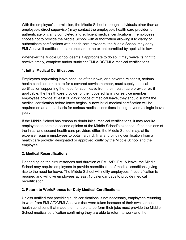With the employee's permission, the Middle School (through individuals other than an employee's direct supervisor) may contact the employee's health care provider to authenticate or clarify completed and sufficient medical certifications. If employees choose not to provide the Middle School with authorization allowing it to clarify or authenticate certifications with health care providers, the Middle School may deny FMLA leave if certifications are unclear, to the extent permitted by applicable law.

Whenever the Middle School deems it appropriate to do so, it may waive its right to receive timely, complete and/or sufficient FMLA/DCFMLA medical certifications.

## **1. Initial Medical Certifications**

Employees requesting leave because of their own, or a covered relation's, serious health condition, or to care for a covered servicemember, must supply medical certification supporting the need for such leave from their health care provider or, if applicable, the health care provider of their covered family or service member. If employees provide at least 30 days' notice of medical leave, they should submit the medical certification before leave begins. A new initial medical certification will be required on an annual basis for serious medical conditions lasting beyond a single leave year.

If the Middle School has reason to doubt initial medical certifications, it may require employees to obtain a second opinion at the Middle School's expense. If the opinions of the initial and second health care providers differ, the Middle School may, at its expense, require employees to obtain a third, final and binding certification from a health care provider designated or approved jointly by the Middle School and the employee.

## **2. Medical Recertifications**

Depending on the circumstances and duration of FMLA/DCFMLA leave, the Middle School may require employees to provide recertification of medical conditions giving rise to the need for leave. The Middle School will notify employees if recertification is required and will give employees at least 15 calendar days to provide medical recertification.

# **3. Return to Work/Fitness for Duty Medical Certifications**

Unless notified that providing such certifications is not necessary, employees returning to work from FMLA/DCFMLA leaves that were taken because of their own serious health conditions that made them unable to perform their jobs must provide the Middle School medical certification confirming they are able to return to work and the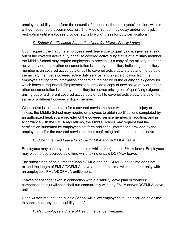employees' ability to perform the essential functions of the employees' position, with or without reasonable accommodation. The Middle School may delay and/or deny job restoration until employees provide return to work/fitness for duty certifications.

## *D. Submit Certifications Supporting Need for Military Family Leave*

Upon request, the first time employees seek leave due to qualifying exigencies arising out of the covered active duty or call to covered active duty status of a military member, the Middle School may require employees to provide: 1) a copy of the military member's active duty orders or other documentation issued by the military indicating the military member is on covered active duty or call to covered active duty status and the dates of the military member's covered active duty service; and 2) a certification from the employee setting forth information concerning the nature of the qualifying exigency for which leave is requested. Employees shall provide a copy of new active duty orders or other documentation issued by the military for leaves arising out of qualifying exigencies arising out of a different covered active duty or call to covered active duty status of the same or a different covered military member.

When leave is taken to care for a covered servicemember with a serious injury or illness, the Middle School may require employees to obtain certifications completed by an authorized health care provider of the covered servicemember. In addition, and in accordance with the FMLA regulations, the Middle School may request that the certification submitted by employees set forth additional information provided by the employee and/or the covered servicemember confirming entitlement to such leave.

# *E. Substitute Paid Leave for Unpaid FMLA and DCFMLA Leave*

Employees may use any accrued paid time while taking unpaid FMLA leave. Employees may elect to use accrued paid time while taking unpaid DCFMLA leave.

The substitution of paid time for unpaid FMLA and/or DCFMLA leave time does not extend the length of FMLA/DCFMLA leave and the paid time will run concurrently with an employee's FMLA/DCFMLA entitlement.

Leaves of absence taken in connection with a disability leave plan or workers' compensation injury/illness shall run concurrently with any FMLA and/or DCFMLA leave entitlement.

Upon written request, the Middle School will allow employees to use accrued paid time to supplement any paid disability benefits.

# *F. Pay Employee's Share of Health Insurance Premiums*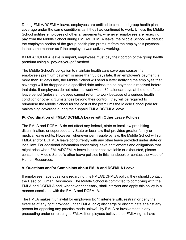During FMLA/DCFMLA leave, employees are entitled to continued group health plan coverage under the same conditions as if they had continued to work. Unless the Middle School notifies employees of other arrangements, whenever employees are receiving pay from the Middle School during FMLA/DCFMLA leave, the Middle School will deduct the employee portion of the group health plan premium from the employee's paycheck in the same manner as if the employee was actively working.

If FMLA/DCFMLA leave is unpaid, employees must pay their portion of the group health premium using a ''pay-as-you-go'' method.

The Middle School's obligation to maintain health care coverage ceases if an employee's premium payment is more than 30 days late. If an employee's payment is more than 15 days late, the Middle School will send a letter notifying the employee that coverage will be dropped on a specified date unless the co-payment is received before that date. If employees do not return to work within 30 calendar days at the end of the leave period (unless employees cannot return to work because of a serious health condition or other circumstances beyond their control), they will be required to reimburse the Middle School for the cost of the premiums the Middle School paid for maintaining coverage during their unpaid FMLA/DCFMLA leave.

## **IV. Coordination of FMLA/ DCFMLA Leave with Other Leave Policies**

The FMLA and DCFMLA do not affect any federal, state or local law prohibiting discrimination, or supersede any State or local law that provides greater family or medical leave rights. However, whenever permissible by law, the Middle School will run FMLA and/or DCFMLA leave concurrently with any other leave provided under state or local law. For additional information concerning leave entitlements and obligations that might arise when FMLA/DCFMLA leave is either not available or exhausted, please consult the Middle School's other leave policies in this handbook or contact the Head of Human Resources.

## **V. Questions and/or Complaints about FMLA and DCFMLA Leave**

If employees have questions regarding this FMLA/DCFMLA policy, they should contact the Head of Human Resources. The Middle School is committed to complying with the FMLA and DCFMLA and, whenever necessary, shall interpret and apply this policy in a manner consistent with the FMLA and DCFMLA.

The FMLA makes it unlawful for employers to: 1) interfere with, restrain or deny the exercise of any right provided under FMLA; or 2) discharge or discriminate against any person for opposing any practice made unlawful by FMLA or involvement in any proceeding under or relating to FMLA. If employees believe their FMLA rights have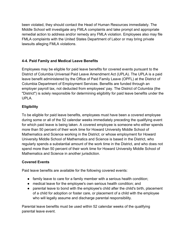been violated, they should contact the Head of Human Resources immediately. The Middle School will investigate any FMLA complaints and take prompt and appropriate remedial action to address and/or remedy any FMLA violation. Employees also may file FMLA complaints with the United States Department of Labor or may bring private lawsuits alleging FMLA violations.

## **4-4. Paid Family and Medical Leave Benefits**

Employees may be eligible for paid leave benefits for covered events pursuant to the District of Columbia Universal Paid Leave Amendment Act (UPLA). The UPLA is a paid leave benefit administered by the Office of Paid Family Leave (OPFL) at the District of Columbia Department of Employment Services. Benefits are funded through an employer payroll tax, not deducted from employees' pay. The District of Columbia (the "District") is solely responsible for determining eligibility for paid leave benefits under the UPLA.

## **Eligibility**

To be eligible for paid leave benefits, employees must have been a covered employee during some or all of the 52 calendar weeks immediately preceding the qualifying event for which paid leave is being taken. A covered employee is someone who either spends more than 50 percent of their work time for Howard University Middle School of Mathematics and Science working in the District; or whose employment for Howard University Middle School of Mathematics and Science is based in the District, who regularly spends a substantial amount of the work time in the District, and who does not spend more than 50 percent of their work time for Howard University Middle School of Mathematics and Science in another jurisdiction.

## **Covered Events**

Paid leave benefits are available for the following covered events:

- family leave to care for a family member with a serious health condition;
- medical leave for the employee's own serious health condition; and
- parental leave to bond with the employee's child after the child's birth, placement of a child for adoption or foster care, or placement of a child with the employee who will legally assume and discharge parental responsibility.

Parental leave benefits must be used within 52 calendar weeks of the qualifying parental leave event.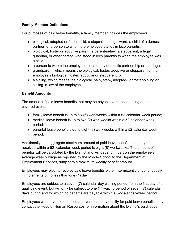## **Family Member Definitions**

For purposes of paid leave benefits, a family member includes the employee's:

- biological, adopted or foster child, a stepchild, a legal ward, a child of a domestic partner, or a person to whom the employee stands in loco parentis;
- biological, foster or adoptive parent, a parent-in-law, a stepparent, a legal guardian, or other person who stood in loco parentis to when the employee was a child;
- a person to whom the employee is related by domestic partnership or marriage;
- grandparent, which means the biological, foster, adoptive or stepparent of the employee's biological, foster, adoptive or stepparent; or
- a sibling, which means the biological, half-, step-, adopted-, or foster-sibling or sibling-in-law of the employee.

## **Benefit Amounts**

The amount of paid leave benefits that may be payable varies depending on the covered event:

- family leave benefit is up to six (6) workweeks within a 52-calendar-week period;
- medical leave benefit is up to two (2) workweeks within a 52-calendar-week period;
- parental leave benefit is up to eight (8) workweeks within a 52-calendar-week period.

Additionally, the aggregate maximum amount of paid leave benefits that may be received within a 52- calendar-week period is eight (8) workweeks. The amount of benefits will be calculated by the District and will depend in part on the employee's average weekly wage as reported by the Middle School to the Department of Employment Services, subject to a maximum weekly benefit amount.

Employees may elect to receive paid leave benefits either intermittently or continuously in increments of no less than one (1) day.

Employees are subject to a seven (7) calendar day waiting period from the first day of a qualifying event, but will only be subject to one (1) waiting period of seven (7) calendar days during and for which no benefits are payable within a 52-calendar-week period.

Employees who have experienced an event that may qualify for paid leave benefits may contact the Head of Human Resources for information about the District's paid leave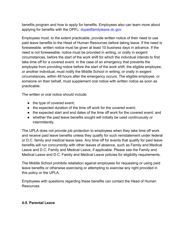benefits program and how to apply for benefits. Employees also can learn more about applying for benefits with the OPFL: dcpaidfamilyleave.dc.gov

Employees must, to the extent practicable, provide written notice of their need to use paid leave benefits to the Head of Human Resources before taking leave. If the need is foreseeable, written notice must be given at least 10 business days in advance. If the need is not foreseeable, notice must be provided in writing, or orally in exigent circumstances, before the start of the work shift for which the individual intends to first take time off for a covered event. In the case of an emergency that prevents the employee from providing notice before the start of the work shift, the eligible employee, or another individual, must notify the Middle School in writing, or orally in exigent circumstances, within 48 hours after the emergency occurs. The eligible employee, or someone on their behalf, must supplement oral notice with written notice as soon as practicable.

The written or oral notice should include:

- the type of covered event;
- the expected duration of the time off work for the covered event;
- the expected start and end dates of the time off work for the covered event; and
- whether the paid leave benefits sought will initially be used continuously or intermittently.

The UPLA does not provide job protection to employees when they take time off work and receive paid leave benefits unless they qualify for such reinstatement under federal or D.C. family and medical leave laws. Any time off for events that qualify for paid leave benefits will run concurrently with other leaves of absence, such as Family and Medical Leave and D.C. Family and Medical Leave, if applicable. Please see the Family and Medical Leave and D.C. Family and Medical Leave policies for eligibility requirements.

The Middle School prohibits retaliation against employees for requesting or using paid leave benefits or otherwise exercising or attempting to exercise any right provided in this policy or the UPLA.

Employees with questions regarding these benefits can contact the Head of Human Resources.

## **4-5. Parental Leave**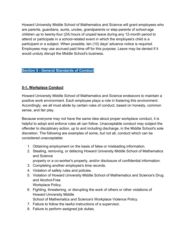Howard University Middle School of Mathematics and Science will grant employees who are parents, guardians, aunts, uncles, grandparents or step-parents of school-age children up to twenty-four (24) hours of unpaid leave during any 12-month period to attend or participate in a school-related event in which the employee's child is a participant or a subject. When possible, ten (10) days' advance notice is required. Employees may use accrued paid time off for this purpose. Leave may be denied if it would unduly disrupt the Middle School's business.

#### **Section 5 - General Standards of Conduct**

## **5-1. Workplace Conduct**

Howard University Middle School of Mathematics and Science endeavors to maintain a positive work environment. Each employee plays a role in fostering this environment. Accordingly, we all must abide by certain rules of conduct, based on honesty, common sense, and fair play.

Because everyone may not have the same idea about proper workplace conduct, it is helpful to adopt and enforce rules all can follow. Unacceptable conduct may subject the offender to disciplinary action, up to and including discharge, in the Middle School's sole discretion. The following are examples of some, but not all, conduct which can be considered unacceptable:

- 1. Obtaining employment on the basis of false or misleading information.
- 2. Stealing, removing, or defacing Howard University Middle School of Mathematics and Science
	- property or a co-worker's property, and/or disclosure of confidential information.
- 3. Completing another employee's time records.
- 4. Violation of safety rules and policies.
- 5. Violation of Howard University Middle School of Mathematics and Science's Drug and Alcohol-Free
	- Workplace Policy.
- 6. Fighting, threatening, or disrupting the work of others or other violations of Howard University Middle
- School of Mathematics and Science's Workplace Violence Policy.
- 7. Failure to follow the lawful instructions of a supervisor.
- 8. Failure to perform assigned job duties.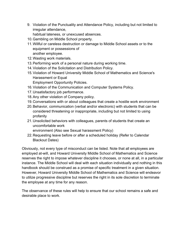9. Violation of the Punctuality and Attendance Policy, including but not limited to irregular attendance,

habitual lateness, or unexcused absences.

- 10.Gambling on Middle School property.
- 11.Willful or careless destruction or damage to Middle School assets or to the equipment or possessions of another employee.
- 12.Wasting work materials.
- 13.Performing work of a personal nature during working time.
- 14.Violation of the Solicitation and Distribution Policy.
- 15.Violation of Howard University Middle School of Mathematics and Science's Harassment or Equal

Employment Opportunity Policies.

- 16.Violation of the Communication and Computer Systems Policy.
- 17.Unsatisfactory job performance.
- 18.Any other violation of Company policy.
- 19.Conversations with or about colleagues that create a hostile work environment
- 20.Behavior, communication (verbal and/or electronic) with students that can be considered threatening or inappropriate, including but not limited to using profanity
- 21.Unsolicited behaviors with colleagues, parents of students that create an uncomfortable work

environment (Also see Sexual harassment Policy)

22.Requesting leave before or after a scheduled holiday (Refer to Calendar Blackout Dates)

Obviously, not every type of misconduct can be listed. Note that all employees are employed at-will, and Howard University Middle School of Mathematics and Science reserves the right to impose whatever discipline it chooses, or none at all, in a particular instance. The Middle School will deal with each situation individually and nothing in this handbook should be construed as a promise of specific treatment in a given situation. However, Howard University Middle School of Mathematics and Science will endeavor to utilize progressive discipline but reserves the right in its sole discretion to terminate the employee at any time for any reason.

The observance of these rules will help to ensure that our school remains a safe and desirable place to work.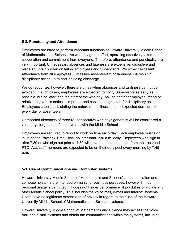## **5-2. Punctuality and Attendance**

Employees are hired to perform important functions at Howard University Middle School of Mathematics and Science. As with any group effort, operating effectively takes cooperation and commitment from everyone. Therefore, attendance and punctuality are very important. Unnecessary absences and lateness are expensive, disruptive and place an unfair burden on fellow employees and Supervisors. We expect excellent attendance from all employees. Excessive absenteeism or tardiness will result in disciplinary action up to and including discharge.

We do recognize, however, there are times when absences and tardiness cannot be avoided. In such cases, employees are expected to notify Supervisors as early as possible, but no later than the start of the workday. Asking another employee, friend or relative to give this notice is improper and constitutes grounds for disciplinary action. Employees should call, stating the nature of the illness and its expected duration, for every day of absenteeism.

Unreported absences of three (3) consecutive workdays generally will be considered a voluntary resignation of employment with the Middle School.

Employees are required to report to work on time each day. Each employee must sign in using the Paychex Time Clock no later than 7:30 a.m. daily. Employees who sign in after 7:30 or who sign out prior to 4:30 will have that time deducted from their accrued PTO. ALL staff members are expected to be on their duty post every morning by 7:45 a.m.

# **5-3. Use of Communications and Computer Systems**

Howard University Middle School of Mathematics and Science's communication and computer systems are intended primarily for business purposes; however limited personal usage is permitted if it does not hinder performance of job duties or violate any other Middle School policy. This includes the voice mail, e-mail and Internet systems. Users have no legitimate expectation of privacy in regard to their use of the Howard University Middle School of Mathematics and Science systems.

Howard University Middle School of Mathematics and Science may access the voice mail and e-mail systems and obtain the communications within the systems, including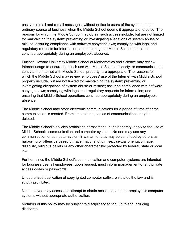past voice mail and e-mail messages, without notice to users of the system, in the ordinary course of business when the Middle School deems it appropriate to do so. The reasons for which the Middle School may obtain such access include, but are not limited to: maintaining the system; preventing or investigating allegations of system abuse or misuse; assuring compliance with software copyright laws; complying with legal and regulatory requests for information; and ensuring that Middle School operations continue appropriately during an employee's absence.

Further, Howard University Middle School of Mathematics and Science may review Internet usage to ensure that such use with Middle School property, or communications sent via the Internet with Middle School property, are appropriate. The reasons for which the Middle School may review employees' use of the Internet with Middle School property include, but are not limited to: maintaining the system; preventing or investigating allegations of system abuse or misuse; assuring compliance with software copyright laws; complying with legal and regulatory requests for information; and ensuring that Middle School operations continue appropriately during an employee's absence.

The Middle School may store electronic communications for a period of time after the communication is created. From time to time, copies of communications may be deleted.

The Middle School's policies prohibiting harassment, in their entirety, apply to the use of Middle School's communication and computer systems. No one may use any communication or computer system in a manner that may be construed by others as harassing or offensive based on race, national origin, sex, sexual orientation, age, disability, religious beliefs or any other characteristic protected by federal, state or local law.

Further, since the Middle School's communication and computer systems are intended for business use, all employees, upon request, must inform management of any private access codes or passwords.

Unauthorized duplication of copyrighted computer software violates the law and is strictly prohibited.

No employee may access, or attempt to obtain access to, another employee's computer systems without appropriate authorization.

Violators of this policy may be subject to disciplinary action, up to and including discharge.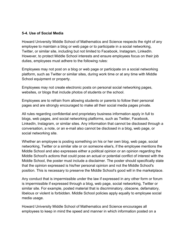#### **5-4. Use of Social Media**

Howard University Middle School of Mathematics and Science respects the right of any employee to maintain a blog or web page or to participate in a social networking, Twitter, or similar site, including but not limited to Facebook, Instagram, LinkedIn. However, to protect Middle School interests and ensure employees focus on their job duties, employees must adhere to the following rules:

Employees may not post on a blog or web page or participate on a social networking platform, such as Twitter or similar sites, during work time or at any time with Middle School equipment or property.

Employees may not create electronic posts on personal social networking pages, websites, or blogs that include photos of students or the school.

Employees are to refrain from allowing students or parents to follow their personal pages and are strongly encouraged to make all their social media pages private.

All rules regarding confidential and proprietary business information apply in full to blogs, web pages, and social networking platforms, such as Twitter, Facebook, LinkedIn, Instagram, or similar sites. Any information that cannot be disclosed through a conversation, a note, or an e-mail also cannot be disclosed in a blog, web page, or social networking site.

Whether an employee is posting something on his or her own blog, web page, social networking, Twitter or a similar site or on someone else's, if the employee mentions the Middle School and also expresses either a political opinion or an opinion regarding the Middle School's actions that could pose an actual or potential conflict of interest with the Middle School, the poster must include a disclaimer. The poster should specifically state that the opinion expressed is his/her personal opinion and not the Middle School's position. This is necessary to preserve the Middle School's good will in the marketplace.

Any conduct that is impermissible under the law if expressed in any other form or forum is impermissible if expressed through a blog, web page, social networking, Twitter or similar site. For example, posted material that is discriminatory, obscene, defamatory, libelous or violent is forbidden. Middle School policies apply equally to employee social media usage.

Howard University Middle School of Mathematics and Science encourages all employees to keep in mind the speed and manner in which information posted on a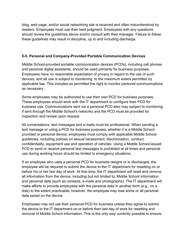blog, web page, and/or social networking site is received and often misunderstood by readers. Employees must use their best judgment. Employees with any questions should review the guidelines above and/or consult with their manager. Failure to follow these guidelines may result in discipline, up to and including discharge.

## **5-5. Personal and Company-Provided Portable Communication Devices**

Middle School-provided portable communication devices (PCDs), including cell phones and personal digital assistants, should be used primarily for business purposes. Employees have no reasonable expectation of privacy in regard to the use of such devices, and all use is subject to monitoring, to the maximum extent permitted by applicable law. This includes as permitted the right to monitor personal communications as necessary.

Some employees may be authorized to use their own PCD for business purposes. These employees should work with the IT department to configure their PCD for business use. Communications sent via a personal PCD also may subject to monitoring if sent through the Middle School's networks and the PCD must be provided for inspection and review upon request.

All conversations, text messages and e-mails must be professional. When sending a text message or using a PCD for business purposes, whether it is a Middle Schoolprovided or personal device, employees must comply with applicable Middle School guidelines, including policies on sexual harassment, discrimination, conduct, confidentiality, equipment use and operation of vehicles. Using a Middle School-issued PCD to send or receive personal text messages is prohibited at all times and personal use during working hours should be limited to emergency situations.

If an employee who uses a personal PCD for business resigns or is discharged, the employee will be required to submit the device to the IT department for resetting on or before his or her last day of work. At that time, the IT department will reset and remove all information from the device, including but not limited to, Middle School information and personal data (such as contacts, e-mails and photographs). The IT department will make efforts to provide employees with the personal data in another form (e.g., on a disk) to the extent practicable; however, the employee may lose some or all personal data saved on the device.

Employees may not use their personal PCD for business unless they agree to submit the device to the IT department on or before their last day of work for resetting and removal of Middle School information. This is the only way currently possible to ensure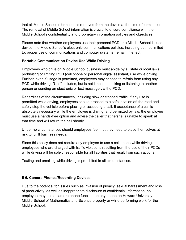that all Middle School information is removed from the device at the time of termination. The removal of Middle School information is crucial to ensure compliance with the Middle School's confidentiality and proprietary information policies and objectives.

Please note that whether employees use their personal PCD or a Middle School-issued device, the Middle School's electronic communications policies, including but not limited to, proper use of communications and computer systems, remain in effect.

#### **Portable Communication Device Use While Driving**

Employees who drive on Middle School business must abide by all state or local laws prohibiting or limiting PCD (cell phone or personal digital assistant) use while driving. Further, even if usage is permitted, employees may choose to refrain from using any PCD while driving. "Use" includes, but is not limited to, talking or listening to another person or sending an electronic or text message via the PCD.

Regardless of the circumstances, including slow or stopped traffic, if any use is permitted while driving, employees should proceed to a safe location off the road and safely stop the vehicle before placing or accepting a call. If acceptance of a call is absolutely necessary while the employee is driving, and permitted by law, the employee must use a hands-free option and advise the caller that he/she is unable to speak at that time and will return the call shortly.

Under no circumstances should employees feel that they need to place themselves at risk to fulfill business needs.

Since this policy does not require any employee to use a cell phone while driving, employees who are charged with traffic violations resulting from the use of their PCDs while driving will be solely responsible for all liabilities that result from such actions.

Texting and emailing while driving is prohibited in all circumstances.

## **5-6. Camera Phones/Recording Devices**

Due to the potential for issues such as invasion of privacy, sexual harassment and loss of productivity, as well as inappropriate disclosure of confidential information, no employee may use a camera phone function on any phone on Howard University Middle School of Mathematics and Science property or while performing work for the Middle School.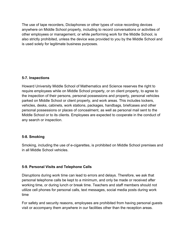The use of tape recorders, Dictaphones or other types of voice recording devices anywhere on Middle School property, including to record conversations or activities of other employees or management, or while performing work for the Middle School, is also strictly prohibited, unless the device was provided to you by the Middle School and is used solely for legitimate business purposes.

#### **5-7. Inspections**

Howard University Middle School of Mathematics and Science reserves the right to require employees while on Middle School property, or on client property, to agree to the inspection of their persons, personal possessions and property, personal vehicles parked on Middle School or client property, and work areas. This includes lockers, vehicles, desks, cabinets, work stations, packages, handbags, briefcases and other personal possessions or places of concealment, as well as personal mail sent to the Middle School or to its clients. Employees are expected to cooperate in the conduct of any search or inspection.

## **5-8. Smoking**

Smoking, including the use of e-cigarettes, is prohibited on Middle School premises and in all Middle School vehicles.

## **5-9. Personal Visits and Telephone Calls**

Disruptions during work time can lead to errors and delays. Therefore, we ask that personal telephone calls be kept to a minimum, and only be made or received after working time, or during lunch or break time. Teachers and staff members should not utilize cell phones for personal calls, text messages, social media posts during work time

For safety and security reasons, employees are prohibited from having personal guests visit or accompany them anywhere in our facilities other than the reception areas.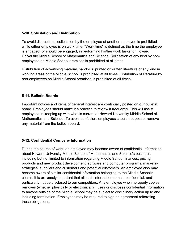## **5-10. Solicitation and Distribution**

To avoid distractions, solicitation by the employee of another employee is prohibited while either employee is on work time. "Work time" is defined as the time the employee is engaged, or should be engaged, in performing his/her work tasks for Howard University Middle School of Mathematics and Science. Solicitation of any kind by nonemployees on Middle School premises is prohibited at all times.

Distribution of advertising material, handbills, printed or written literature of any kind in working areas of the Middle School is prohibited at all times. Distribution of literature by non-employees on Middle School premises is prohibited at all times.

## **5-11. Bulletin Boards**

Important notices and items of general interest are continually posted on our bulletin board. Employees should make it a practice to review it frequently. This will assist employees in keeping up with what is current at Howard University Middle School of Mathematics and Science. To avoid confusion, employees should not post or remove any material from the bulletin board.

## **5-12. Confidential Company Information**

During the course of work, an employee may become aware of confidential information about Howard University Middle School of Mathematics and Science's business, including but not limited to information regarding Middle School finances, pricing, products and new product development, software and computer programs, marketing strategies, suppliers and customers and potential customers. An employee also may become aware of similar confidential information belonging to the Middle School's clients. It is extremely important that all such information remain confidential, and particularly not be disclosed to our competitors. Any employee who improperly copies, removes (whether physically or electronically), uses or discloses confidential information to anyone outside of the Middle School may be subject to disciplinary action up to and including termination. Employees may be required to sign an agreement reiterating these obligations.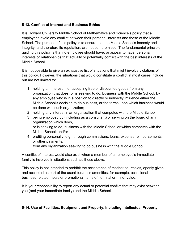## **5-13. Conflict of Interest and Business Ethics**

It is Howard University Middle School of Mathematics and Science's policy that all employees avoid any conflict between their personal interests and those of the Middle School. The purpose of this policy is to ensure that the Middle School's honesty and integrity, and therefore its reputation, are not compromised. The fundamental principle guiding this policy is that no employee should have, or appear to have, personal interests or relationships that actually or potentially conflict with the best interests of the Middle School.

It is not possible to give an exhaustive list of situations that might involve violations of this policy. However, the situations that would constitute a conflict in most cases include but are not limited to:

- 1. holding an interest in or accepting free or discounted goods from any organization that does, or is seeking to do, business with the Middle School, by any employee who is in a position to directly or indirectly influence either the Middle School's decision to do business, or the terms upon which business would be done with such organization;
- 2. holding any interest in an organization that competes with the Middle School;
- 3. being employed by (including as a consultant) or serving on the board of any organization which does, or is seeking to do, business with the Middle School or which competes with the Middle School; and/or
- 4. profiting personally, e.g., through commissions, loans, expense reimbursements or other payments,

from any organization seeking to do business with the Middle School.

A conflict of interest would also exist when a member of an employee's immediate family is involved in situations such as those above.

This policy is not intended to prohibit the acceptance of modest courtesies, openly given and accepted as part of the usual business amenities, for example, occasional business-related meals or promotional items of nominal or minor value.

It is your responsibility to report any actual or potential conflict that may exist between you (and your immediate family) and the Middle School.

# **5-14. Use of Facilities, Equipment and Property, Including Intellectual Property**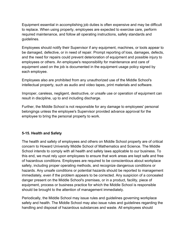Equipment essential in accomplishing job duties is often expensive and may be difficult to replace. When using property, employees are expected to exercise care, perform required maintenance, and follow all operating instructions, safety standards and guidelines.

Employees should notify their Supervisor if any equipment, machines, or tools appear to be damaged, defective, or in need of repair. Prompt reporting of loss, damages, defects, and the need for repairs could prevent deterioration of equipment and possible injury to employees or others. An employee's responsibility for maintenance and care of equipment used on the job is documented in the equipment usage policy signed by each employee.

Employees also are prohibited from any unauthorized use of the Middle School's intellectual property, such as audio and video tapes, print materials and software.

Improper, careless, negligent, destructive, or unsafe use or operation of equipment can result in discipline, up to and including discharge.

Further, the Middle School is not responsible for any damage to employees' personal belongings unless the employee's Supervisor provided advance approval for the employee to bring the personal property to work.

## **5-15. Health and Safety**

The health and safety of employees and others on Middle School property are of critical concern to Howard University Middle School of Mathematics and Science. The Middle School intends to comply with all health and safety laws applicable to our business. To this end, we must rely upon employees to ensure that work areas are kept safe and free of hazardous conditions. Employees are required to be conscientious about workplace safety, including proper operating methods, and recognize dangerous conditions or hazards. Any unsafe conditions or potential hazards should be reported to management immediately, even if the problem appears to be corrected. Any suspicion of a concealed danger present on the Middle School's premises, or in a product, facility, piece of equipment, process or business practice for which the Middle School is responsible should be brought to the attention of management immediately.

Periodically, the Middle School may issue rules and guidelines governing workplace safety and health. The Middle School may also issue rules and guidelines regarding the handling and disposal of hazardous substances and waste. All employees should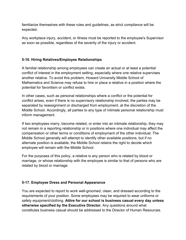familiarize themselves with these rules and guidelines, as strict compliance will be expected.

Any workplace injury, accident, or illness must be reported to the employee's Supervisor as soon as possible, regardless of the severity of the injury or accident.

## **5-16. Hiring Relatives/Employee Relationships**

A familial relationship among employees can create an actual or at least a potential conflict of interest in the employment setting, especially where one relative supervises another relative. To avoid this problem, Howard University Middle School of Mathematics and Science may refuse to hire or place a relative in a position where the potential for favoritism or conflict exists.

In other cases, such as personal relationships where a conflict or the potential for conflict arises, even if there is no supervisory relationship involved, the parties may be separated by reassignment or discharged from employment, at the discretion of the Middle School. Accordingly, all parties to any type of intimate personal relationship must inform management.

If two employees marry, become related, or enter into an intimate relationship, they may not remain in a reporting relationship or in positions where one individual may affect the compensation or other terms or conditions of employment of the other individual. The Middle School generally will attempt to identify other available positions, but if no alternate position is available, the Middle School retains the right to decide which employee will remain with the Middle School.

For the purposes of this policy, a relative is any person who is related by blood or marriage, or whose relationship with the employee is similar to that of persons who are related by blood or marriage.

#### **5-17. Employee Dress and Personal Appearance**

You are expected to report to work well-groomed, clean, and dressed according to the requirements of your position. Some employees may be required to wear uniforms or safety equipment/clothing. **Attire for our school is business casual every day unless otherwise specified by the Executive Director.** Any questions around what constitutes business casual should be addressed to the Director of Human Resources.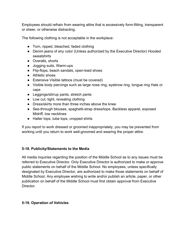Employees should refrain from wearing attire that is excessively form-fitting, transparent or sheer, or otherwise distracting.

The following clothing is not acceptable in the workplace:

- Torn, ripped, bleached, faded clothing
- Denim jeans of any color (Unless authorized by the Executive Director) Hooded sweatshirts
- Overalls, shorts
- Jogging suits, Warm-ups
- Flip-flops, beach sandals, open-toed shoes
- Athletic shoes
- Extensive Visible tattoos (must be covered)
- Visible body piercings such as large nose ring, eyebrow ring, tongue ring Hats or caps
- Leggings/stirrup pants, stretch pants
- Low cut, tight, revealing clothing
- Dress/skirts more than three inches above the knee
- See-through blouses, spaghetti-strap dress/tops. Backless apparel, exposed Midriff, low necklines
- Halter tops, tube tops, cropped shirts

If you report to work dressed or groomed inappropriately, you may be prevented from working until you return to work well-groomed and wearing the proper attire.

#### **5-18. Publicity/Statements to the Media**

All media inquiries regarding the position of the Middle School as to any issues must be referred to Executive Director. Only Executive Director is authorized to make or approve public statements on behalf of the Middle School. No employees, unless specifically designated by Executive Director, are authorized to make those statements on behalf of Middle School. Any employee wishing to write and/or publish an article, paper, or other publication on behalf of the Middle School must first obtain approval from Executive Director.

#### **5-19. Operation of Vehicles**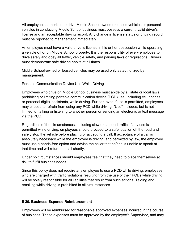All employees authorized to drive Middle School-owned or leased vehicles or personal vehicles in conducting Middle School business must possess a current, valid driver's license and an acceptable driving record. Any change in license status or driving record must be reported to management immediately.

An employee must have a valid driver's license in his or her possession while operating a vehicle off or on Middle School property. It is the responsibility of every employee to drive safely and obey all traffic, vehicle safety, and parking laws or regulations. Drivers must demonstrate safe driving habits at all times.

Middle School-owned or leased vehicles may be used only as authorized by management.

Portable Communication Device Use While Driving

Employees who drive on Middle School business must abide by all state or local laws prohibiting or limiting portable communication device (PCD) use, including cell phones or personal digital assistants, while driving. Further, even if use is permitted, employees may choose to refrain from using any PCD while driving. "Use" includes, but is not limited to, talking or listening to another person or sending an electronic or text message via the PCD.

Regardless of the circumstances, including slow or stopped traffic, if any use is permitted while driving, employees should proceed to a safe location off the road and safely stop the vehicle before placing or accepting a call. If acceptance of a call is absolutely necessary while the employee is driving, and permitted by law, the employee must use a hands-free option and advise the caller that he/she is unable to speak at that time and will return the call shortly.

Under no circumstances should employees feel that they need to place themselves at risk to fulfill business needs.

Since this policy does not require any employee to use a PCD while driving, employees who are charged with traffic violations resulting from the use of their PCDs while driving will be solely responsible for all liabilities that result from such actions. Texting and emailing while driving is prohibited in all circumstances.

#### **5-20. Business Expense Reimbursement**

Employees will be reimbursed for reasonable approved expenses incurred in the course of business. These expenses must be approved by the employee's Supervisor, and may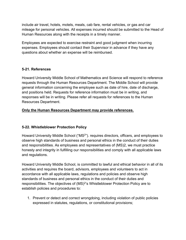include air travel, hotels, motels, meals, cab fare, rental vehicles, or gas and car mileage for personal vehicles. All expenses incurred should be submitted to the Head of Human Resources along with the receipts in a timely manner.

Employees are expected to exercise restraint and good judgment when incurring expenses. Employees should contact their Supervisor in advance if they have any questions about whether an expense will be reimbursed.

#### **5-21. References**

Howard University Middle School of Mathematics and Science will respond to reference requests through the Human Resources Department. The Middle School will provide general information concerning the employee such as date of hire, date of discharge, and positions held. Requests for reference information must be in writing, and responses will be in writing. Please refer all requests for references to the Human Resources Department.

#### **Only the Human Resources Department may provide references.**

## **5-22. Whistleblower Protection Policy**

Howard University Middle School ("MS2"). requires directors, officers, and employees to observe high standards of business and personal ethics in the conduct of their duties and responsibilities. As employees and representatives of (MS)2, we must practice honesty and integrity in fulfilling our responsibilities and comply with all applicable laws and regulations.

Howard University Middle School, is committed to lawful and ethical behavior in all of its activities and requires the board, advisors, employees and volunteers to act in accordance with all applicable laws, regulations and policies and observe high standards of business and personal ethics in the conduct of their duties and responsibilities. The objectives of (MS)<sup>2'</sup>s Whistleblower Protection Policy are to establish policies and procedures to:

1. Prevent or detect and correct wrongdoing, including violation of public policies expressed in statutes, regulations, or constitutional provisions;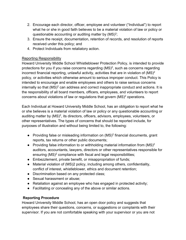- 2. Encourage each director, officer, employee and volunteer ("Individual") to report what he or she in good faith believes to be a material violation of law or policy or questionable accounting or auditing matter by  $(MS)^2$ ;
- 3. Ensure the receipt, documentation, retention of records, and resolution of reports received under this policy; and
- 4. Protect Individuals from retaliatory action.

## Reporting Responsibility

Howard University Middle School Whistleblower Protection Policy, is intended to provide protections for you if you raise concerns regarding  $(MS)^2$ , such as concerns regarding incorrect financial reporting, unlawful activity, activities that are in violation of  $(MS)^2$ policy, or activities which otherwise amount to serious improper conduct. This Policy is intended to encourage and enable employees and others to raise serious concerns internally so that  $(MS)^2$  can address and correct inappropriate conduct and actions. It is the responsibility of all board members, officers, employees, and volunteers to report concerns about violations of law or regulations that govern  $(MS)^2$  operations.

Each Individual at Howard University Middle School, has an obligation to report what he or she believes is a material violation of law or policy or any questionable accounting or auditing matter by  $(MS)^2$ , its directors, officers, advisors, employees, volunteers, or other representatives. The types of concerns that should be reported include, for purposes of illustration and without being limited to, the following:

- Providing false or misleading information on (MS)<sup>2</sup> financial documents, grant reports, tax returns or other public documents;
- Providing false information to or withholding material information from  $(MS)^2$ auditors, accountants, lawyers, directors or other representatives responsible for ensuring  $(MS)^2$  compliance with fiscal and legal responsibilities;
- Embezzlement, private benefit, or misappropriation of funds;
- Material violation of (MS)2 policy, including among others, confidentiality, conflict of interest, whistleblower, ethics and document retention;
- Discrimination based on any protected class;
- Sexual harassment or abuse;
- Retaliation against an employee who has engaged in protected activity;
- Facilitating or concealing any of the above or similar actions.

## **Reporting Procedure**

Howard University Middle School, has an open door policy and suggests that employees share their questions, concerns, or suggestions or complaints with their supervisor. If you are not comfortable speaking with your supervisor or you are not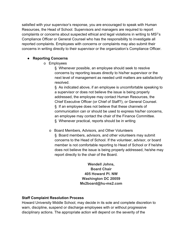satisfied with your supervisor's response, you are encouraged to speak with Human Resources, the Head of School. Supervisors and managers are required to report complaints or concerns about suspected ethical and legal violations in writing to MS<sup>2</sup>'s Compliance Officer or General Counsel who has the responsibility to investigate all reported complaints. Employees with concerns or complaints may also submit their concerns in writing directly to their supervisor or the organization's Compliance Officer.

## ● **Reporting Concerns**

o Employees

§ Whenever possible, an employee should seek to resolve concerns by reporting issues directly to his/her supervisor or the next level of management as needed until matters are satisfactorily resolved.

§ As indicated above, if an employee is uncomfortable speaking to a supervisor or does not believe the issue is being properly addressed, the employee may contact Human Resources, the Chief Executive Officer (or Chief of Staff?), or General Counsel. § If an employee does not believe that these channels of communication can or should be used to express his/her concerns, an employee may contact the chair of the Finance Committee. § Whenever practical, reports should be in writing

- o Board Members, Advisors, and Other Volunteers
	- § Board members, advisors, and other volunteers may submit concerns to the Head of School. If the volunteer, advisor, or board member is not comfortable reporting to Head of School or if he/she does not believe the issue is being properly addressed, he/she may report directly to the chair of the Board.

**Wendell Johns, Board Chair 405 Howard Pl. NW Washington DC 20059 Ms2board@hu-ms2.com**

## **Staff Complaint Resolution Process**

Howard University Middle School, may decide in its sole and complete discretion to warn, discipline, suspend or discharge employees with or without progressive disciplinary actions. The appropriate action will depend on the severity of the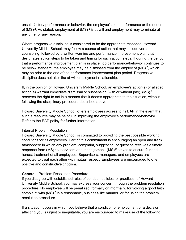unsatisfactory performance or behavior, the employee's past performance or the needs of  $(MS)^2$ . As stated, employment at  $(MS)^2$  is at-will and employment may terminate at any time for any reason.

Where progressive discipline is considered to be the appropriate response, Howard University Middle School, may follow a course of action that may include verbal counseling, followed by a written warning and performance improvement plan that designates action steps to be taken and timing for such action steps. If during the period that a performance improvement plan is in place, job performance/behavior continues to be below standard, the employee may be dismissed from the employ of  $(MS)^2$ , which may be prior to the end of the performance improvement plan period. Progressive discipline does not alter the at-will employment relationship.

If, in the opinion of Howard University Middle School, an employee's action(s) or alleged action(s) warrant immediate dismissal or suspension (with or without pay), (MS) <sup>2</sup> reserves the right to act in a manner that it deems appropriate to the situation, without following the disciplinary procedure described above.

Howard University Middle School, offers employees access to its EAP in the event that such a resource may be helpful in improving the employee's performance/behavior. Refer to the EAP policy for further information.

#### Internal Problem Resolution

Howard University Middle School, is committed to providing the best possible working conditions for its employees. Part of this commitment is encouraging an open and frank atmosphere in which any problem, complaint, suggestion, or question receives a timely response from  $(MS)^2$  supervisors and management.  $(MS)^2$  strives to ensure fair and honest treatment of all employees. Supervisors, managers, and employees are expected to treat each other with mutual respect. Employees are encouraged to offer positive and constructive criticism.

#### **General** - Problem Resolution Procedure

If you disagree with established rules of conduct, policies, or practices, of Howard University Middle School, you may express your concern through the problem resolution procedure. No employee will be penalized, formally or informally, for voicing a good faith complaint with  $(MS)^2$  in a reasonable, business-like manner, or for using the problem resolution procedure.

If a situation occurs in which you believe that a condition of employment or a decision affecting you is unjust or inequitable, you are encouraged to make use of the following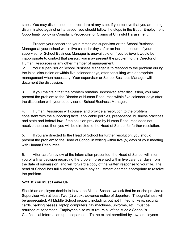steps. You may discontinue the procedure at any step. If you believe that you are being discriminated against or harassed, you should follow the steps in the Equal Employment Opportunity policy or Complaint Procedure for Claims of Unlawful Harassment.

1. Present your concern to your immediate supervisor or the School Business Manager at your school within five calendar days after an incident occurs. If your supervisor or School Business Manager is unavailable or if you believe it would be inappropriate to contact that person, you may present the problem to the Director of Human Resources or any other member of management.

2. Your supervisor or School Business Manager is to respond to the problem during the initial discussion or within five calendar days, after consulting with appropriate management when necessary. Your supervisor or School Business Manager will document the discussion.

3. If you maintain that the problem remains unresolved after discussion, you may present the problem to the Director of Human Resources within five calendar days after the discussion with your supervisor or School Business Manager.

4. Human Resources will counsel and provide a resolution to the problem consistent with the supporting facts, applicable policies, precedence, business practices and state and federal law. If the solution provided by Human Resources does not resolve the issue then you will be directed to the Head of School for further resolution.

5. If you are directed to the Head of School for further resolution, you should present the problem to the Head of School in writing within five (5) days of your meeting with Human Resources.

6. After careful review of the information presented, the Head of School will inform you of a final decision regarding the problem presented within five calendar days from the date of submission, and will forward a copy of the written response to your file. The head of School has full authority to make any adjustment deemed appropriate to resolve the problem.

## **5-23. If You Must Leave Us**

Should an employee decide to leave the Middle School, we ask that he or she provide a Supervisor with at least Two (2) weeks advance notice of departure. Thoughtfulness will be appreciated. All Middle School property including, but not limited to, keys, security cards, parking passes, laptop computers, fax machines, uniforms, etc., must be returned at separation. Employees also must return all of the Middle School,'s Confidential Information upon separation. To the extent permitted by law, employees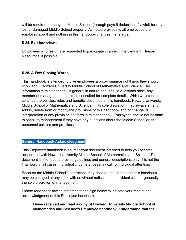will be required to repay the Middle School, (through payroll deduction, if lawful) for any lost or damaged Middle School property. As noted previously, all employees are employed at-will and nothing in this handbook changes that status.

#### **5-24. Exit Interviews**

Employees who resign are requested to participate in an exit interview with Human Resources, if possible.

#### **5-25. A Few Closing Words**

This handbook is intended to give employees a broad summary of things they should know about Howard University Middle School of Mathematics and Science. The information in this handbook is general in nature and, should questions arise, any member of management should be consulted for complete details. While we intend to continue the policies, rules and benefits described in this handbook, Howard University Middle School of Mathematics and Science, in its sole discretion, may always amend, add to, delete from or modify the provisions of this handbook and/or change its interpretation of any provision set forth in this handbook. Employees should not hesitate to speak to management if they have any questions about the Middle School or its personnel policies and practices.

#### **General Handbook Acknowledgment**

This Employee handbook is an important document intended to help you become acquainted with Howard University Middle School of Mathematics and Science. This document is intended to provide guidelines and general descriptions only; it is not the final word in all cases. Individual circumstances may call for individual attention.

Because the Middle School's operations may change, the contents of this handbook may be changed at any time, with or without notice, in an individual case or generally, at the sole discretion of management.

Please read the following statements and sign below to indicate your receipt and acknowledgment of this Employee handbook.

**I have received and read a copy of Howard University Middle School of Mathematics and Science's Employee handbook. I understand that the**